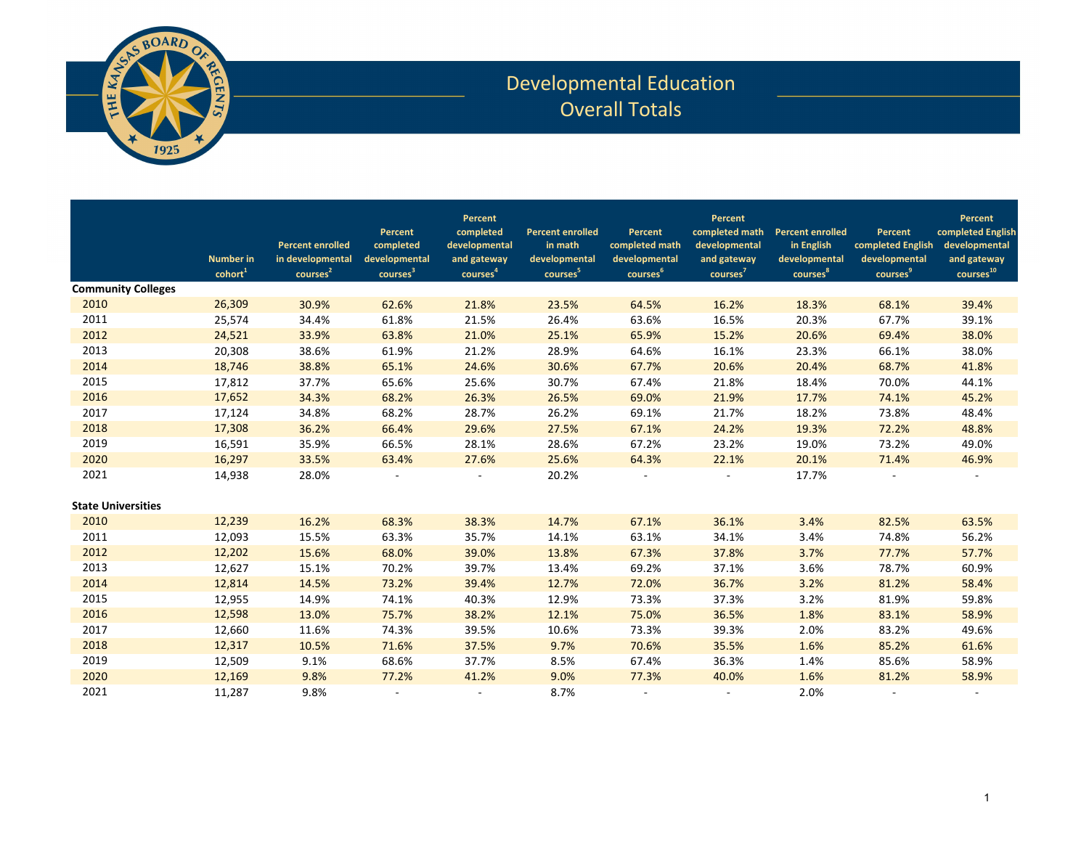

## Developmental Education Overall Totals

| <b>Community Colleges</b> | <b>Number</b> in<br>cohort <sup>1</sup> | <b>Percent enrolled</b><br>in developmental<br>courses <sup>2</sup> | Percent<br>completed<br>developmental<br>courses <sup>3</sup> | Percent<br>completed<br>developmental<br>and gateway<br>courses <sup>4</sup> | <b>Percent enrolled</b><br>in math<br>developmental<br>courses <sup>5</sup> | Percent<br>completed math<br>developmental<br>courses <sup>6</sup> | Percent<br>completed math<br>developmental<br>and gateway<br>course <sup>7</sup> | <b>Percent enrolled</b><br>in English<br>developmental<br>courses <sup>8</sup> | Percent<br>completed English<br>developmental<br>courses <sup>9</sup> | Percent<br>completed English<br>developmental<br>and gateway<br>courses <sup>10</sup> |
|---------------------------|-----------------------------------------|---------------------------------------------------------------------|---------------------------------------------------------------|------------------------------------------------------------------------------|-----------------------------------------------------------------------------|--------------------------------------------------------------------|----------------------------------------------------------------------------------|--------------------------------------------------------------------------------|-----------------------------------------------------------------------|---------------------------------------------------------------------------------------|
| 2010                      |                                         |                                                                     |                                                               |                                                                              |                                                                             |                                                                    |                                                                                  | 18.3%                                                                          | 68.1%                                                                 |                                                                                       |
| 2011                      | 26,309                                  | 30.9%                                                               | 62.6%                                                         | 21.8%                                                                        | 23.5%                                                                       | 64.5%                                                              | 16.2%                                                                            |                                                                                |                                                                       | 39.4%                                                                                 |
| 2012                      | 25,574                                  | 34.4%                                                               | 61.8%                                                         | 21.5%                                                                        | 26.4%                                                                       | 63.6%                                                              | 16.5%                                                                            | 20.3%                                                                          | 67.7%                                                                 | 39.1%                                                                                 |
|                           | 24,521                                  | 33.9%                                                               | 63.8%                                                         | 21.0%                                                                        | 25.1%                                                                       | 65.9%                                                              | 15.2%                                                                            | 20.6%                                                                          | 69.4%                                                                 | 38.0%                                                                                 |
| 2013                      | 20,308                                  | 38.6%                                                               | 61.9%                                                         | 21.2%                                                                        | 28.9%                                                                       | 64.6%                                                              | 16.1%                                                                            | 23.3%                                                                          | 66.1%                                                                 | 38.0%                                                                                 |
| 2014                      | 18,746                                  | 38.8%                                                               | 65.1%                                                         | 24.6%                                                                        | 30.6%                                                                       | 67.7%                                                              | 20.6%                                                                            | 20.4%                                                                          | 68.7%                                                                 | 41.8%                                                                                 |
| 2015                      | 17,812                                  | 37.7%                                                               | 65.6%                                                         | 25.6%                                                                        | 30.7%                                                                       | 67.4%                                                              | 21.8%                                                                            | 18.4%                                                                          | 70.0%                                                                 | 44.1%                                                                                 |
| 2016                      | 17,652                                  | 34.3%                                                               | 68.2%                                                         | 26.3%                                                                        | 26.5%                                                                       | 69.0%                                                              | 21.9%                                                                            | 17.7%                                                                          | 74.1%                                                                 | 45.2%                                                                                 |
| 2017                      | 17,124                                  | 34.8%                                                               | 68.2%                                                         | 28.7%                                                                        | 26.2%                                                                       | 69.1%                                                              | 21.7%                                                                            | 18.2%                                                                          | 73.8%                                                                 | 48.4%                                                                                 |
| 2018                      | 17,308                                  | 36.2%                                                               | 66.4%                                                         | 29.6%                                                                        | 27.5%                                                                       | 67.1%                                                              | 24.2%                                                                            | 19.3%                                                                          | 72.2%                                                                 | 48.8%                                                                                 |
| 2019                      | 16,591                                  | 35.9%                                                               | 66.5%                                                         | 28.1%                                                                        | 28.6%                                                                       | 67.2%                                                              | 23.2%                                                                            | 19.0%                                                                          | 73.2%                                                                 | 49.0%                                                                                 |
| 2020                      | 16,297                                  | 33.5%                                                               | 63.4%                                                         | 27.6%                                                                        | 25.6%                                                                       | 64.3%                                                              | 22.1%                                                                            | 20.1%                                                                          | 71.4%                                                                 | 46.9%                                                                                 |
| 2021                      | 14,938                                  | 28.0%                                                               |                                                               |                                                                              | 20.2%                                                                       |                                                                    |                                                                                  | 17.7%                                                                          |                                                                       |                                                                                       |
| <b>State Universities</b> |                                         |                                                                     |                                                               |                                                                              |                                                                             |                                                                    |                                                                                  |                                                                                |                                                                       |                                                                                       |
| 2010                      | 12,239                                  | 16.2%                                                               | 68.3%                                                         | 38.3%                                                                        | 14.7%                                                                       | 67.1%                                                              | 36.1%                                                                            | 3.4%                                                                           | 82.5%                                                                 | 63.5%                                                                                 |
| 2011                      | 12,093                                  | 15.5%                                                               | 63.3%                                                         | 35.7%                                                                        | 14.1%                                                                       | 63.1%                                                              | 34.1%                                                                            | 3.4%                                                                           | 74.8%                                                                 | 56.2%                                                                                 |
| 2012                      | 12,202                                  | 15.6%                                                               | 68.0%                                                         | 39.0%                                                                        | 13.8%                                                                       | 67.3%                                                              | 37.8%                                                                            | 3.7%                                                                           | 77.7%                                                                 | 57.7%                                                                                 |
| 2013                      | 12,627                                  | 15.1%                                                               | 70.2%                                                         | 39.7%                                                                        | 13.4%                                                                       | 69.2%                                                              | 37.1%                                                                            | 3.6%                                                                           | 78.7%                                                                 | 60.9%                                                                                 |
| 2014                      | 12,814                                  | 14.5%                                                               | 73.2%                                                         | 39.4%                                                                        | 12.7%                                                                       | 72.0%                                                              | 36.7%                                                                            | 3.2%                                                                           | 81.2%                                                                 | 58.4%                                                                                 |
| 2015                      | 12,955                                  | 14.9%                                                               | 74.1%                                                         | 40.3%                                                                        | 12.9%                                                                       | 73.3%                                                              | 37.3%                                                                            | 3.2%                                                                           | 81.9%                                                                 | 59.8%                                                                                 |
| 2016                      | 12,598                                  | 13.0%                                                               | 75.7%                                                         | 38.2%                                                                        | 12.1%                                                                       | 75.0%                                                              | 36.5%                                                                            | 1.8%                                                                           | 83.1%                                                                 | 58.9%                                                                                 |
| 2017                      | 12,660                                  | 11.6%                                                               | 74.3%                                                         | 39.5%                                                                        | 10.6%                                                                       | 73.3%                                                              | 39.3%                                                                            | 2.0%                                                                           | 83.2%                                                                 | 49.6%                                                                                 |
| 2018                      | 12,317                                  | 10.5%                                                               | 71.6%                                                         | 37.5%                                                                        | 9.7%                                                                        | 70.6%                                                              | 35.5%                                                                            | 1.6%                                                                           | 85.2%                                                                 | 61.6%                                                                                 |
| 2019                      | 12,509                                  | 9.1%                                                                | 68.6%                                                         | 37.7%                                                                        | 8.5%                                                                        | 67.4%                                                              | 36.3%                                                                            | 1.4%                                                                           | 85.6%                                                                 | 58.9%                                                                                 |
| 2020                      | 12,169                                  | 9.8%                                                                | 77.2%                                                         | 41.2%                                                                        | 9.0%                                                                        | 77.3%                                                              | 40.0%                                                                            | 1.6%                                                                           | 81.2%                                                                 | 58.9%                                                                                 |
| 2021                      | 11,287                                  | 9.8%                                                                |                                                               |                                                                              | 8.7%                                                                        |                                                                    |                                                                                  | 2.0%                                                                           |                                                                       |                                                                                       |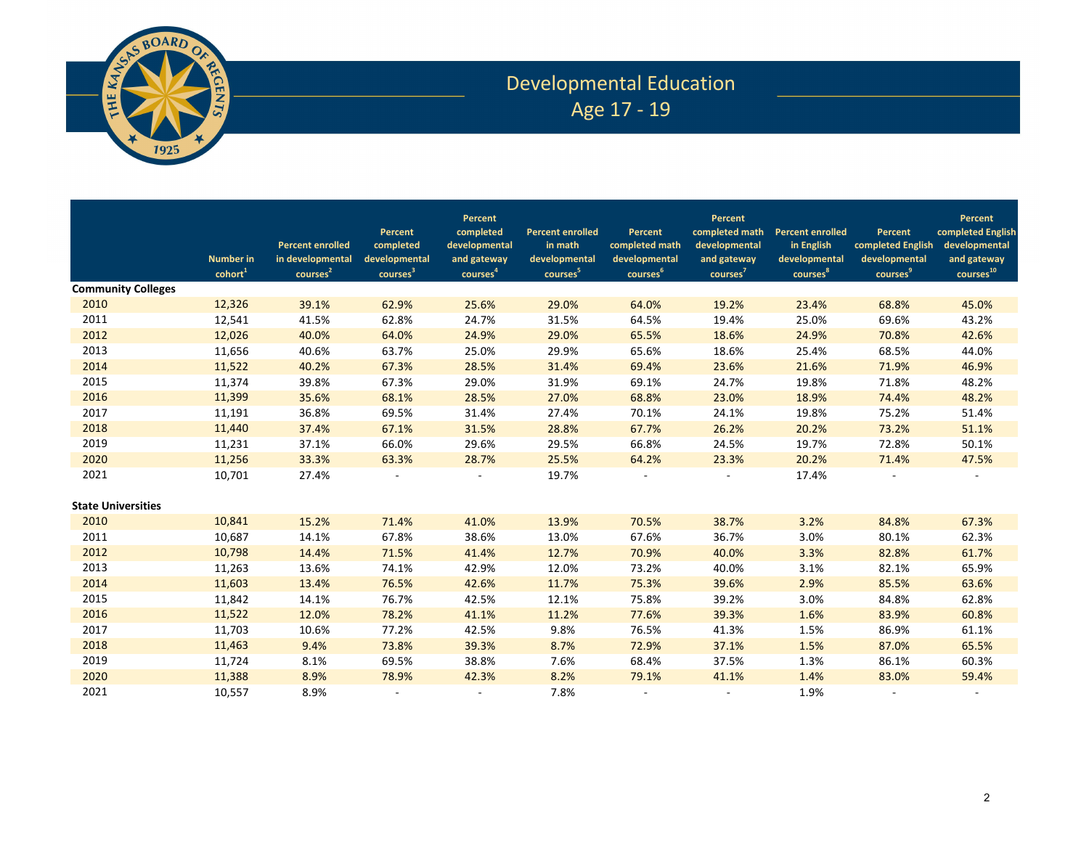

# Developmental Education Age 17 - 19

|                           | <b>Number</b> in<br>cohort <sup>1</sup> | <b>Percent enrolled</b><br>in developmental<br>courses <sup>2</sup> | Percent<br>completed<br>developmental<br>courses <sup>3</sup> | Percent<br>completed<br>developmental<br>and gateway<br>courses <sup>4</sup> | <b>Percent enrolled</b><br>in math<br>developmental<br>courses <sup>5</sup> | Percent<br>completed math<br>developmental<br>courses <sup>6</sup> | <b>Percent</b><br>completed math<br>developmental<br>and gateway<br>courses <sup>7</sup> | <b>Percent enrolled</b><br>in English<br>developmental<br>courses <sup>8</sup> | Percent<br>completed English<br>developmental<br>courses <sup>9</sup> | Percent<br>completed English<br>developmental<br>and gateway<br>courses <sup>10</sup> |
|---------------------------|-----------------------------------------|---------------------------------------------------------------------|---------------------------------------------------------------|------------------------------------------------------------------------------|-----------------------------------------------------------------------------|--------------------------------------------------------------------|------------------------------------------------------------------------------------------|--------------------------------------------------------------------------------|-----------------------------------------------------------------------|---------------------------------------------------------------------------------------|
| <b>Community Colleges</b> |                                         |                                                                     |                                                               |                                                                              |                                                                             |                                                                    |                                                                                          |                                                                                |                                                                       |                                                                                       |
| 2010                      | 12,326                                  | 39.1%                                                               | 62.9%                                                         | 25.6%                                                                        | 29.0%                                                                       | 64.0%                                                              | 19.2%                                                                                    | 23.4%                                                                          | 68.8%                                                                 | 45.0%                                                                                 |
| 2011                      | 12,541                                  | 41.5%                                                               | 62.8%                                                         | 24.7%                                                                        | 31.5%                                                                       | 64.5%                                                              | 19.4%                                                                                    | 25.0%                                                                          | 69.6%                                                                 | 43.2%                                                                                 |
| 2012                      | 12,026                                  | 40.0%                                                               | 64.0%                                                         | 24.9%                                                                        | 29.0%                                                                       | 65.5%                                                              | 18.6%                                                                                    | 24.9%                                                                          | 70.8%                                                                 | 42.6%                                                                                 |
| 2013                      | 11,656                                  | 40.6%                                                               | 63.7%                                                         | 25.0%                                                                        | 29.9%                                                                       | 65.6%                                                              | 18.6%                                                                                    | 25.4%                                                                          | 68.5%                                                                 | 44.0%                                                                                 |
| 2014                      | 11,522                                  | 40.2%                                                               | 67.3%                                                         | 28.5%                                                                        | 31.4%                                                                       | 69.4%                                                              | 23.6%                                                                                    | 21.6%                                                                          | 71.9%                                                                 | 46.9%                                                                                 |
| 2015                      | 11,374                                  | 39.8%                                                               | 67.3%                                                         | 29.0%                                                                        | 31.9%                                                                       | 69.1%                                                              | 24.7%                                                                                    | 19.8%                                                                          | 71.8%                                                                 | 48.2%                                                                                 |
| 2016                      | 11,399                                  | 35.6%                                                               | 68.1%                                                         | 28.5%                                                                        | 27.0%                                                                       | 68.8%                                                              | 23.0%                                                                                    | 18.9%                                                                          | 74.4%                                                                 | 48.2%                                                                                 |
| 2017                      | 11,191                                  | 36.8%                                                               | 69.5%                                                         | 31.4%                                                                        | 27.4%                                                                       | 70.1%                                                              | 24.1%                                                                                    | 19.8%                                                                          | 75.2%                                                                 | 51.4%                                                                                 |
| 2018                      | 11,440                                  | 37.4%                                                               | 67.1%                                                         | 31.5%                                                                        | 28.8%                                                                       | 67.7%                                                              | 26.2%                                                                                    | 20.2%                                                                          | 73.2%                                                                 | 51.1%                                                                                 |
| 2019                      | 11,231                                  | 37.1%                                                               | 66.0%                                                         | 29.6%                                                                        | 29.5%                                                                       | 66.8%                                                              | 24.5%                                                                                    | 19.7%                                                                          | 72.8%                                                                 | 50.1%                                                                                 |
| 2020                      | 11,256                                  | 33.3%                                                               | 63.3%                                                         | 28.7%                                                                        | 25.5%                                                                       | 64.2%                                                              | 23.3%                                                                                    | 20.2%                                                                          | 71.4%                                                                 | 47.5%                                                                                 |
| 2021                      | 10,701                                  | 27.4%                                                               |                                                               |                                                                              | 19.7%                                                                       |                                                                    |                                                                                          | 17.4%                                                                          |                                                                       |                                                                                       |
| <b>State Universities</b> |                                         |                                                                     |                                                               |                                                                              |                                                                             |                                                                    |                                                                                          |                                                                                |                                                                       |                                                                                       |
| 2010                      | 10,841                                  | 15.2%                                                               | 71.4%                                                         | 41.0%                                                                        | 13.9%                                                                       | 70.5%                                                              | 38.7%                                                                                    | 3.2%                                                                           | 84.8%                                                                 | 67.3%                                                                                 |
| 2011                      | 10,687                                  | 14.1%                                                               | 67.8%                                                         | 38.6%                                                                        | 13.0%                                                                       | 67.6%                                                              | 36.7%                                                                                    | 3.0%                                                                           | 80.1%                                                                 | 62.3%                                                                                 |
| 2012                      | 10,798                                  | 14.4%                                                               | 71.5%                                                         | 41.4%                                                                        | 12.7%                                                                       | 70.9%                                                              | 40.0%                                                                                    | 3.3%                                                                           | 82.8%                                                                 | 61.7%                                                                                 |
| 2013                      | 11,263                                  | 13.6%                                                               | 74.1%                                                         | 42.9%                                                                        | 12.0%                                                                       | 73.2%                                                              | 40.0%                                                                                    | 3.1%                                                                           | 82.1%                                                                 | 65.9%                                                                                 |
| 2014                      | 11,603                                  | 13.4%                                                               | 76.5%                                                         | 42.6%                                                                        | 11.7%                                                                       | 75.3%                                                              | 39.6%                                                                                    | 2.9%                                                                           | 85.5%                                                                 | 63.6%                                                                                 |
| 2015                      | 11,842                                  | 14.1%                                                               | 76.7%                                                         | 42.5%                                                                        | 12.1%                                                                       | 75.8%                                                              | 39.2%                                                                                    | 3.0%                                                                           | 84.8%                                                                 | 62.8%                                                                                 |
| 2016                      | 11,522                                  | 12.0%                                                               | 78.2%                                                         | 41.1%                                                                        | 11.2%                                                                       | 77.6%                                                              | 39.3%                                                                                    | 1.6%                                                                           | 83.9%                                                                 | 60.8%                                                                                 |
| 2017                      | 11,703                                  | 10.6%                                                               | 77.2%                                                         | 42.5%                                                                        | 9.8%                                                                        | 76.5%                                                              | 41.3%                                                                                    | 1.5%                                                                           | 86.9%                                                                 | 61.1%                                                                                 |
| 2018                      | 11,463                                  | 9.4%                                                                | 73.8%                                                         | 39.3%                                                                        | 8.7%                                                                        | 72.9%                                                              | 37.1%                                                                                    | 1.5%                                                                           | 87.0%                                                                 | 65.5%                                                                                 |
| 2019                      | 11,724                                  | 8.1%                                                                | 69.5%                                                         | 38.8%                                                                        | 7.6%                                                                        | 68.4%                                                              | 37.5%                                                                                    | 1.3%                                                                           | 86.1%                                                                 | 60.3%                                                                                 |
| 2020                      | 11,388                                  | 8.9%                                                                | 78.9%                                                         | 42.3%                                                                        | 8.2%                                                                        | 79.1%                                                              | 41.1%                                                                                    | 1.4%                                                                           | 83.0%                                                                 | 59.4%                                                                                 |
| 2021                      | 10,557                                  | 8.9%                                                                |                                                               |                                                                              | 7.8%                                                                        |                                                                    |                                                                                          | 1.9%                                                                           |                                                                       |                                                                                       |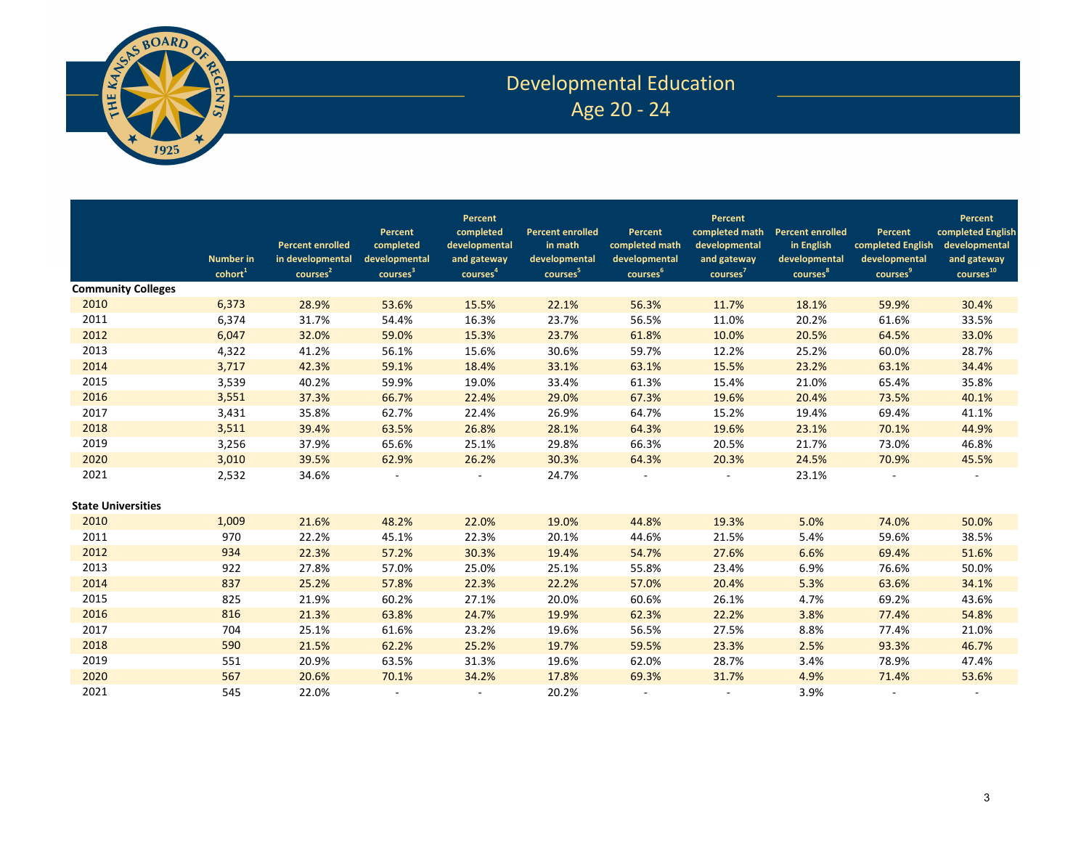

## Developmental Education Age 20 - 24

|                           | <b>Number in</b><br>cohort <sup>1</sup> | <b>Percent enrolled</b><br>in developmental<br>courses <sup>2</sup> | Percent<br>completed<br>developmental<br>courses <sup>3</sup> | Percent<br>completed<br>developmental<br>and gateway<br>courses <sup>4</sup> | <b>Percent enrolled</b><br>in math<br>developmental<br>courses <sup>5</sup> | Percent<br>completed math<br>developmental<br>courses <sup>6</sup> | Percent<br>completed math<br>developmental<br>and gateway<br>courses <sup>7</sup> | <b>Percent enrolled</b><br>in English<br>developmental<br>courses <sup>8</sup> | Percent<br>completed English<br>developmental<br>courses <sup>9</sup> | Percent<br>completed English<br>developmental<br>and gateway<br>courses <sup>10</sup> |
|---------------------------|-----------------------------------------|---------------------------------------------------------------------|---------------------------------------------------------------|------------------------------------------------------------------------------|-----------------------------------------------------------------------------|--------------------------------------------------------------------|-----------------------------------------------------------------------------------|--------------------------------------------------------------------------------|-----------------------------------------------------------------------|---------------------------------------------------------------------------------------|
| <b>Community Colleges</b> |                                         |                                                                     |                                                               |                                                                              |                                                                             |                                                                    |                                                                                   |                                                                                |                                                                       |                                                                                       |
| 2010                      | 6,373                                   | 28.9%                                                               | 53.6%                                                         | 15.5%                                                                        | 22.1%                                                                       | 56.3%                                                              | 11.7%                                                                             | 18.1%                                                                          | 59.9%                                                                 | 30.4%                                                                                 |
| 2011                      | 6,374                                   | 31.7%                                                               | 54.4%                                                         | 16.3%                                                                        | 23.7%                                                                       | 56.5%                                                              | 11.0%                                                                             | 20.2%                                                                          | 61.6%                                                                 | 33.5%                                                                                 |
| 2012                      | 6,047                                   | 32.0%                                                               | 59.0%                                                         | 15.3%                                                                        | 23.7%                                                                       | 61.8%                                                              | 10.0%                                                                             | 20.5%                                                                          | 64.5%                                                                 | 33.0%                                                                                 |
| 2013                      | 4,322                                   | 41.2%                                                               | 56.1%                                                         | 15.6%                                                                        | 30.6%                                                                       | 59.7%                                                              | 12.2%                                                                             | 25.2%                                                                          | 60.0%                                                                 | 28.7%                                                                                 |
| 2014                      | 3,717                                   | 42.3%                                                               | 59.1%                                                         | 18.4%                                                                        | 33.1%                                                                       | 63.1%                                                              | 15.5%                                                                             | 23.2%                                                                          | 63.1%                                                                 | 34.4%                                                                                 |
| 2015                      | 3,539                                   | 40.2%                                                               | 59.9%                                                         | 19.0%                                                                        | 33.4%                                                                       | 61.3%                                                              | 15.4%                                                                             | 21.0%                                                                          | 65.4%                                                                 | 35.8%                                                                                 |
| 2016                      | 3,551                                   | 37.3%                                                               | 66.7%                                                         | 22.4%                                                                        | 29.0%                                                                       | 67.3%                                                              | 19.6%                                                                             | 20.4%                                                                          | 73.5%                                                                 | 40.1%                                                                                 |
| 2017                      | 3,431                                   | 35.8%                                                               | 62.7%                                                         | 22.4%                                                                        | 26.9%                                                                       | 64.7%                                                              | 15.2%                                                                             | 19.4%                                                                          | 69.4%                                                                 | 41.1%                                                                                 |
| 2018                      | 3,511                                   | 39.4%                                                               | 63.5%                                                         | 26.8%                                                                        | 28.1%                                                                       | 64.3%                                                              | 19.6%                                                                             | 23.1%                                                                          | 70.1%                                                                 | 44.9%                                                                                 |
| 2019                      | 3,256                                   | 37.9%                                                               | 65.6%                                                         | 25.1%                                                                        | 29.8%                                                                       | 66.3%                                                              | 20.5%                                                                             | 21.7%                                                                          | 73.0%                                                                 | 46.8%                                                                                 |
| 2020                      | 3,010                                   | 39.5%                                                               | 62.9%                                                         | 26.2%                                                                        | 30.3%                                                                       | 64.3%                                                              | 20.3%                                                                             | 24.5%                                                                          | 70.9%                                                                 | 45.5%                                                                                 |
| 2021                      | 2,532                                   | 34.6%                                                               |                                                               |                                                                              | 24.7%                                                                       |                                                                    |                                                                                   | 23.1%                                                                          |                                                                       |                                                                                       |
| <b>State Universities</b> |                                         |                                                                     |                                                               |                                                                              |                                                                             |                                                                    |                                                                                   |                                                                                |                                                                       |                                                                                       |
| 2010                      | 1,009                                   | 21.6%                                                               | 48.2%                                                         | 22.0%                                                                        | 19.0%                                                                       | 44.8%                                                              | 19.3%                                                                             | 5.0%                                                                           | 74.0%                                                                 | 50.0%                                                                                 |
| 2011                      | 970                                     | 22.2%                                                               | 45.1%                                                         | 22.3%                                                                        | 20.1%                                                                       | 44.6%                                                              | 21.5%                                                                             | 5.4%                                                                           | 59.6%                                                                 | 38.5%                                                                                 |
| 2012                      | 934                                     | 22.3%                                                               | 57.2%                                                         | 30.3%                                                                        | 19.4%                                                                       | 54.7%                                                              | 27.6%                                                                             | 6.6%                                                                           | 69.4%                                                                 | 51.6%                                                                                 |
| 2013                      | 922                                     | 27.8%                                                               | 57.0%                                                         | 25.0%                                                                        | 25.1%                                                                       | 55.8%                                                              | 23.4%                                                                             | 6.9%                                                                           | 76.6%                                                                 | 50.0%                                                                                 |
| 2014                      | 837                                     | 25.2%                                                               | 57.8%                                                         | 22.3%                                                                        | 22.2%                                                                       | 57.0%                                                              | 20.4%                                                                             | 5.3%                                                                           | 63.6%                                                                 | 34.1%                                                                                 |
| 2015                      | 825                                     | 21.9%                                                               | 60.2%                                                         | 27.1%                                                                        | 20.0%                                                                       | 60.6%                                                              | 26.1%                                                                             | 4.7%                                                                           | 69.2%                                                                 | 43.6%                                                                                 |
| 2016                      | 816                                     | 21.3%                                                               | 63.8%                                                         | 24.7%                                                                        | 19.9%                                                                       | 62.3%                                                              | 22.2%                                                                             | 3.8%                                                                           | 77.4%                                                                 | 54.8%                                                                                 |
| 2017                      | 704                                     | 25.1%                                                               | 61.6%                                                         | 23.2%                                                                        | 19.6%                                                                       | 56.5%                                                              | 27.5%                                                                             | 8.8%                                                                           | 77.4%                                                                 | 21.0%                                                                                 |
| 2018                      | 590                                     | 21.5%                                                               | 62.2%                                                         | 25.2%                                                                        | 19.7%                                                                       | 59.5%                                                              | 23.3%                                                                             | 2.5%                                                                           | 93.3%                                                                 | 46.7%                                                                                 |
| 2019                      | 551                                     | 20.9%                                                               | 63.5%                                                         | 31.3%                                                                        | 19.6%                                                                       | 62.0%                                                              | 28.7%                                                                             | 3.4%                                                                           | 78.9%                                                                 | 47.4%                                                                                 |
| 2020                      | 567                                     | 20.6%                                                               | 70.1%                                                         | 34.2%                                                                        | 17.8%                                                                       | 69.3%                                                              | 31.7%                                                                             | 4.9%                                                                           | 71.4%                                                                 | 53.6%                                                                                 |
| 2021                      | 545                                     | 22.0%                                                               |                                                               | $\sim$                                                                       | 20.2%                                                                       | $\sim$                                                             |                                                                                   | 3.9%                                                                           | $\overline{\phantom{a}}$                                              |                                                                                       |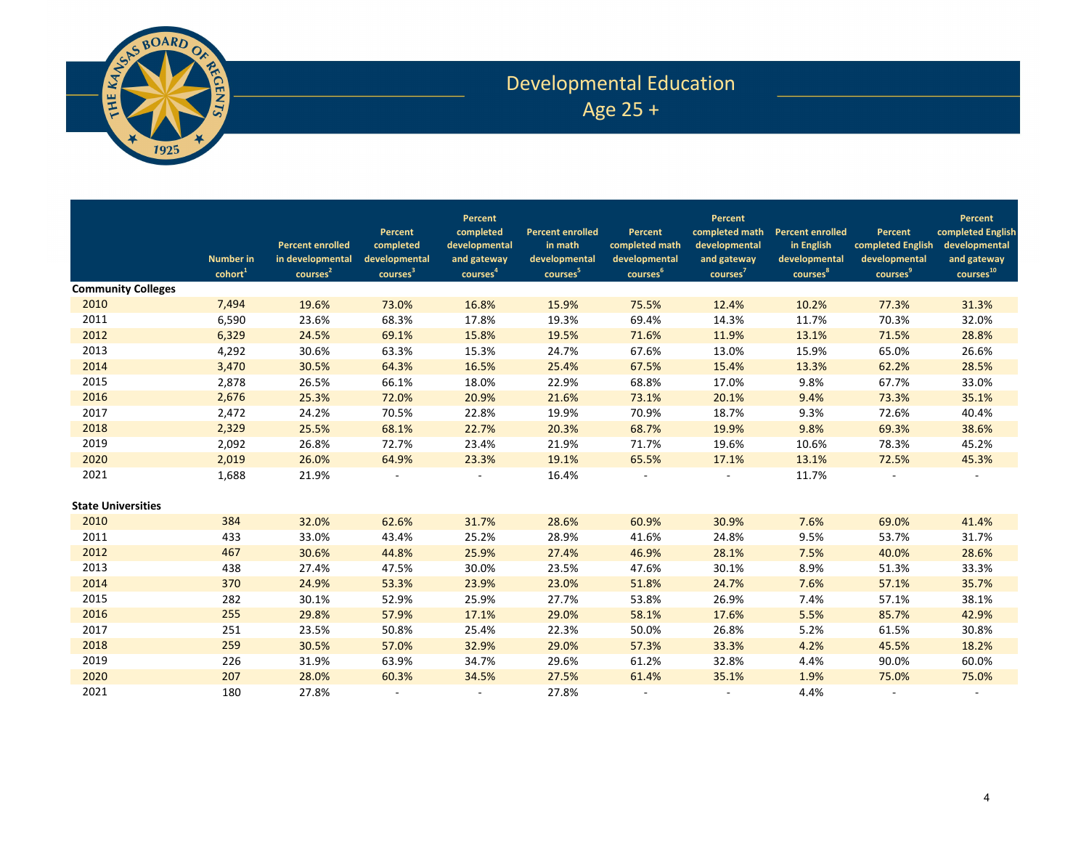

# Developmental Education Age 25 +

|                           | <b>Number in</b><br>$\text{cohort}^1$ | <b>Percent enrolled</b><br>in developmental<br>courses <sup>2</sup> | Percent<br>completed<br>developmental<br>courses <sup>3</sup> | Percent<br>completed<br>developmental<br>and gateway<br>courses <sup>4</sup> | <b>Percent enrolled</b><br>in math<br>developmental<br>courses <sup>5</sup> | Percent<br>completed math<br>developmental<br>courses <sup>6</sup> | <b>Percent</b><br>completed math<br>developmental<br>and gateway<br>courses <sup>7</sup> | <b>Percent enrolled</b><br>in English<br>developmental<br>courses <sup>8</sup> | Percent<br>completed English<br>developmental<br>courses <sup>9</sup> | Percent<br>completed English<br>developmental<br>and gateway<br>courses <sup>10</sup> |
|---------------------------|---------------------------------------|---------------------------------------------------------------------|---------------------------------------------------------------|------------------------------------------------------------------------------|-----------------------------------------------------------------------------|--------------------------------------------------------------------|------------------------------------------------------------------------------------------|--------------------------------------------------------------------------------|-----------------------------------------------------------------------|---------------------------------------------------------------------------------------|
| <b>Community Colleges</b> |                                       |                                                                     |                                                               |                                                                              |                                                                             |                                                                    |                                                                                          |                                                                                |                                                                       |                                                                                       |
| 2010                      | 7,494                                 | 19.6%                                                               | 73.0%                                                         | 16.8%                                                                        | 15.9%                                                                       | 75.5%                                                              | 12.4%                                                                                    | 10.2%                                                                          | 77.3%                                                                 | 31.3%                                                                                 |
| 2011                      | 6,590                                 | 23.6%                                                               | 68.3%                                                         | 17.8%                                                                        | 19.3%                                                                       | 69.4%                                                              | 14.3%                                                                                    | 11.7%                                                                          | 70.3%                                                                 | 32.0%                                                                                 |
| 2012                      | 6,329                                 | 24.5%                                                               | 69.1%                                                         | 15.8%                                                                        | 19.5%                                                                       | 71.6%                                                              | 11.9%                                                                                    | 13.1%                                                                          | 71.5%                                                                 | 28.8%                                                                                 |
| 2013                      | 4,292                                 | 30.6%                                                               | 63.3%                                                         | 15.3%                                                                        | 24.7%                                                                       | 67.6%                                                              | 13.0%                                                                                    | 15.9%                                                                          | 65.0%                                                                 | 26.6%                                                                                 |
| 2014                      | 3,470                                 | 30.5%                                                               | 64.3%                                                         | 16.5%                                                                        | 25.4%                                                                       | 67.5%                                                              | 15.4%                                                                                    | 13.3%                                                                          | 62.2%                                                                 | 28.5%                                                                                 |
| 2015                      | 2,878                                 | 26.5%                                                               | 66.1%                                                         | 18.0%                                                                        | 22.9%                                                                       | 68.8%                                                              | 17.0%                                                                                    | 9.8%                                                                           | 67.7%                                                                 | 33.0%                                                                                 |
| 2016                      | 2,676                                 | 25.3%                                                               | 72.0%                                                         | 20.9%                                                                        | 21.6%                                                                       | 73.1%                                                              | 20.1%                                                                                    | 9.4%                                                                           | 73.3%                                                                 | 35.1%                                                                                 |
| 2017                      | 2,472                                 | 24.2%                                                               | 70.5%                                                         | 22.8%                                                                        | 19.9%                                                                       | 70.9%                                                              | 18.7%                                                                                    | 9.3%                                                                           | 72.6%                                                                 | 40.4%                                                                                 |
| 2018                      | 2,329                                 | 25.5%                                                               | 68.1%                                                         | 22.7%                                                                        | 20.3%                                                                       | 68.7%                                                              | 19.9%                                                                                    | 9.8%                                                                           | 69.3%                                                                 | 38.6%                                                                                 |
| 2019                      | 2,092                                 | 26.8%                                                               | 72.7%                                                         | 23.4%                                                                        | 21.9%                                                                       | 71.7%                                                              | 19.6%                                                                                    | 10.6%                                                                          | 78.3%                                                                 | 45.2%                                                                                 |
| 2020                      | 2,019                                 | 26.0%                                                               | 64.9%                                                         | 23.3%                                                                        | 19.1%                                                                       | 65.5%                                                              | 17.1%                                                                                    | 13.1%                                                                          | 72.5%                                                                 | 45.3%                                                                                 |
| 2021                      | 1,688                                 | 21.9%                                                               |                                                               |                                                                              | 16.4%                                                                       |                                                                    |                                                                                          | 11.7%                                                                          |                                                                       |                                                                                       |
| <b>State Universities</b> |                                       |                                                                     |                                                               |                                                                              |                                                                             |                                                                    |                                                                                          |                                                                                |                                                                       |                                                                                       |
| 2010                      | 384                                   | 32.0%                                                               | 62.6%                                                         | 31.7%                                                                        | 28.6%                                                                       | 60.9%                                                              | 30.9%                                                                                    | 7.6%                                                                           | 69.0%                                                                 | 41.4%                                                                                 |
| 2011                      | 433                                   | 33.0%                                                               | 43.4%                                                         | 25.2%                                                                        | 28.9%                                                                       | 41.6%                                                              | 24.8%                                                                                    | 9.5%                                                                           | 53.7%                                                                 | 31.7%                                                                                 |
| 2012                      | 467                                   | 30.6%                                                               | 44.8%                                                         | 25.9%                                                                        | 27.4%                                                                       | 46.9%                                                              | 28.1%                                                                                    | 7.5%                                                                           | 40.0%                                                                 | 28.6%                                                                                 |
| 2013                      | 438                                   | 27.4%                                                               | 47.5%                                                         | 30.0%                                                                        | 23.5%                                                                       | 47.6%                                                              | 30.1%                                                                                    | 8.9%                                                                           | 51.3%                                                                 | 33.3%                                                                                 |
| 2014                      | 370                                   | 24.9%                                                               | 53.3%                                                         | 23.9%                                                                        | 23.0%                                                                       | 51.8%                                                              | 24.7%                                                                                    | 7.6%                                                                           | 57.1%                                                                 | 35.7%                                                                                 |
| 2015                      | 282                                   | 30.1%                                                               | 52.9%                                                         | 25.9%                                                                        | 27.7%                                                                       | 53.8%                                                              | 26.9%                                                                                    | 7.4%                                                                           | 57.1%                                                                 | 38.1%                                                                                 |
| 2016                      | 255                                   | 29.8%                                                               | 57.9%                                                         | 17.1%                                                                        | 29.0%                                                                       | 58.1%                                                              | 17.6%                                                                                    | 5.5%                                                                           | 85.7%                                                                 | 42.9%                                                                                 |
| 2017                      | 251                                   | 23.5%                                                               | 50.8%                                                         | 25.4%                                                                        | 22.3%                                                                       | 50.0%                                                              | 26.8%                                                                                    | 5.2%                                                                           | 61.5%                                                                 | 30.8%                                                                                 |
| 2018                      | 259                                   | 30.5%                                                               | 57.0%                                                         | 32.9%                                                                        | 29.0%                                                                       | 57.3%                                                              | 33.3%                                                                                    | 4.2%                                                                           | 45.5%                                                                 | 18.2%                                                                                 |
| 2019                      | 226                                   | 31.9%                                                               | 63.9%                                                         | 34.7%                                                                        | 29.6%                                                                       | 61.2%                                                              | 32.8%                                                                                    | 4.4%                                                                           | 90.0%                                                                 | 60.0%                                                                                 |
| 2020                      | 207                                   | 28.0%                                                               | 60.3%                                                         | 34.5%                                                                        | 27.5%                                                                       | 61.4%                                                              | 35.1%                                                                                    | 1.9%                                                                           | 75.0%                                                                 | 75.0%                                                                                 |
| 2021                      | 180                                   | 27.8%                                                               |                                                               | $\overline{\phantom{a}}$                                                     | 27.8%                                                                       | $\sim$                                                             |                                                                                          | 4.4%                                                                           | $\overline{\phantom{a}}$                                              |                                                                                       |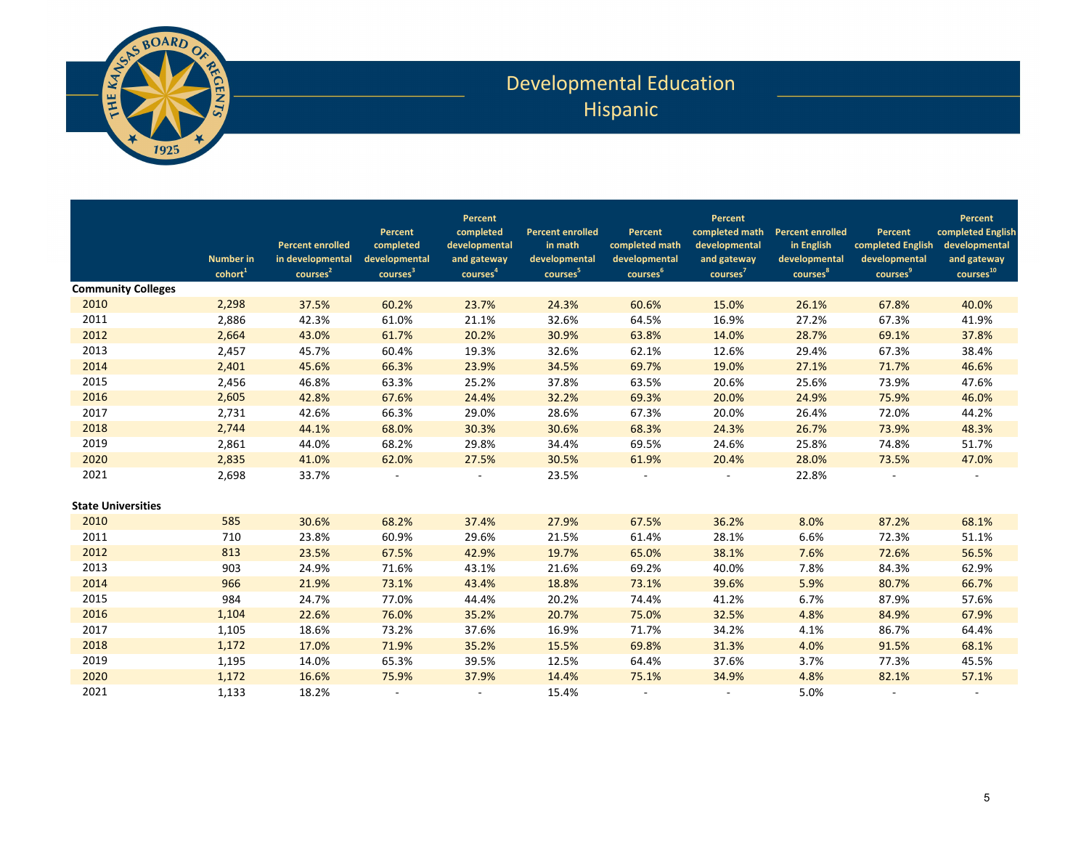

## Developmental Education Hispanic

|                           | <b>Number in</b><br>cohort <sup>1</sup> | <b>Percent enrolled</b><br>in developmental<br>courses <sup>2</sup> | Percent<br>completed<br>developmental<br>courses <sup>3</sup> | Percent<br>completed<br>developmental<br>and gateway<br>courses <sup>4</sup> | <b>Percent enrolled</b><br>in math<br>developmental<br>courses <sup>5</sup> | Percent<br>completed math<br>developmental<br>courses <sup>6</sup> | Percent<br>completed math<br>developmental<br>and gateway<br>courses <sup>7</sup> | <b>Percent enrolled</b><br>in English<br>developmental<br>courses <sup>8</sup> | Percent<br>completed English<br>developmental<br>courses <sup>9</sup> | Percent<br>completed English<br>developmental<br>and gateway<br>courses <sup>10</sup> |
|---------------------------|-----------------------------------------|---------------------------------------------------------------------|---------------------------------------------------------------|------------------------------------------------------------------------------|-----------------------------------------------------------------------------|--------------------------------------------------------------------|-----------------------------------------------------------------------------------|--------------------------------------------------------------------------------|-----------------------------------------------------------------------|---------------------------------------------------------------------------------------|
| <b>Community Colleges</b> |                                         |                                                                     |                                                               |                                                                              |                                                                             |                                                                    |                                                                                   |                                                                                |                                                                       |                                                                                       |
| 2010                      | 2,298                                   | 37.5%                                                               | 60.2%                                                         | 23.7%                                                                        | 24.3%                                                                       | 60.6%                                                              | 15.0%                                                                             | 26.1%                                                                          | 67.8%                                                                 | 40.0%                                                                                 |
| 2011                      | 2,886                                   | 42.3%                                                               | 61.0%                                                         | 21.1%                                                                        | 32.6%                                                                       | 64.5%                                                              | 16.9%                                                                             | 27.2%                                                                          | 67.3%                                                                 | 41.9%                                                                                 |
| 2012                      | 2,664                                   | 43.0%                                                               | 61.7%                                                         | 20.2%                                                                        | 30.9%                                                                       | 63.8%                                                              | 14.0%                                                                             | 28.7%                                                                          | 69.1%                                                                 | 37.8%                                                                                 |
| 2013                      | 2,457                                   | 45.7%                                                               | 60.4%                                                         | 19.3%                                                                        | 32.6%                                                                       | 62.1%                                                              | 12.6%                                                                             | 29.4%                                                                          | 67.3%                                                                 | 38.4%                                                                                 |
| 2014                      | 2,401                                   | 45.6%                                                               | 66.3%                                                         | 23.9%                                                                        | 34.5%                                                                       | 69.7%                                                              | 19.0%                                                                             | 27.1%                                                                          | 71.7%                                                                 | 46.6%                                                                                 |
| 2015                      | 2,456                                   | 46.8%                                                               | 63.3%                                                         | 25.2%                                                                        | 37.8%                                                                       | 63.5%                                                              | 20.6%                                                                             | 25.6%                                                                          | 73.9%                                                                 | 47.6%                                                                                 |
| 2016                      | 2,605                                   | 42.8%                                                               | 67.6%                                                         | 24.4%                                                                        | 32.2%                                                                       | 69.3%                                                              | 20.0%                                                                             | 24.9%                                                                          | 75.9%                                                                 | 46.0%                                                                                 |
| 2017                      | 2,731                                   | 42.6%                                                               | 66.3%                                                         | 29.0%                                                                        | 28.6%                                                                       | 67.3%                                                              | 20.0%                                                                             | 26.4%                                                                          | 72.0%                                                                 | 44.2%                                                                                 |
| 2018                      | 2,744                                   | 44.1%                                                               | 68.0%                                                         | 30.3%                                                                        | 30.6%                                                                       | 68.3%                                                              | 24.3%                                                                             | 26.7%                                                                          | 73.9%                                                                 | 48.3%                                                                                 |
| 2019                      | 2,861                                   | 44.0%                                                               | 68.2%                                                         | 29.8%                                                                        | 34.4%                                                                       | 69.5%                                                              | 24.6%                                                                             | 25.8%                                                                          | 74.8%                                                                 | 51.7%                                                                                 |
| 2020                      | 2,835                                   | 41.0%                                                               | 62.0%                                                         | 27.5%                                                                        | 30.5%                                                                       | 61.9%                                                              | 20.4%                                                                             | 28.0%                                                                          | 73.5%                                                                 | 47.0%                                                                                 |
| 2021                      | 2,698                                   | 33.7%                                                               |                                                               |                                                                              | 23.5%                                                                       |                                                                    |                                                                                   | 22.8%                                                                          |                                                                       |                                                                                       |
| <b>State Universities</b> |                                         |                                                                     |                                                               |                                                                              |                                                                             |                                                                    |                                                                                   |                                                                                |                                                                       |                                                                                       |
| 2010                      | 585                                     | 30.6%                                                               | 68.2%                                                         | 37.4%                                                                        | 27.9%                                                                       | 67.5%                                                              | 36.2%                                                                             | 8.0%                                                                           | 87.2%                                                                 | 68.1%                                                                                 |
| 2011                      | 710                                     | 23.8%                                                               | 60.9%                                                         | 29.6%                                                                        | 21.5%                                                                       | 61.4%                                                              | 28.1%                                                                             | 6.6%                                                                           | 72.3%                                                                 | 51.1%                                                                                 |
| 2012                      | 813                                     | 23.5%                                                               | 67.5%                                                         | 42.9%                                                                        | 19.7%                                                                       | 65.0%                                                              | 38.1%                                                                             | 7.6%                                                                           | 72.6%                                                                 | 56.5%                                                                                 |
| 2013                      | 903                                     | 24.9%                                                               | 71.6%                                                         | 43.1%                                                                        | 21.6%                                                                       | 69.2%                                                              | 40.0%                                                                             | 7.8%                                                                           | 84.3%                                                                 | 62.9%                                                                                 |
| 2014                      | 966                                     | 21.9%                                                               | 73.1%                                                         | 43.4%                                                                        | 18.8%                                                                       | 73.1%                                                              | 39.6%                                                                             | 5.9%                                                                           | 80.7%                                                                 | 66.7%                                                                                 |
| 2015                      | 984                                     | 24.7%                                                               | 77.0%                                                         | 44.4%                                                                        | 20.2%                                                                       | 74.4%                                                              | 41.2%                                                                             | 6.7%                                                                           | 87.9%                                                                 | 57.6%                                                                                 |
| 2016                      | 1,104                                   | 22.6%                                                               | 76.0%                                                         | 35.2%                                                                        | 20.7%                                                                       | 75.0%                                                              | 32.5%                                                                             | 4.8%                                                                           | 84.9%                                                                 | 67.9%                                                                                 |
| 2017                      | 1,105                                   | 18.6%                                                               | 73.2%                                                         | 37.6%                                                                        | 16.9%                                                                       | 71.7%                                                              | 34.2%                                                                             | 4.1%                                                                           | 86.7%                                                                 | 64.4%                                                                                 |
| 2018                      | 1,172                                   | 17.0%                                                               | 71.9%                                                         | 35.2%                                                                        | 15.5%                                                                       | 69.8%                                                              | 31.3%                                                                             | 4.0%                                                                           | 91.5%                                                                 | 68.1%                                                                                 |
| 2019                      | 1,195                                   | 14.0%                                                               | 65.3%                                                         | 39.5%                                                                        | 12.5%                                                                       | 64.4%                                                              | 37.6%                                                                             | 3.7%                                                                           | 77.3%                                                                 | 45.5%                                                                                 |
| 2020                      | 1,172                                   | 16.6%                                                               | 75.9%                                                         | 37.9%                                                                        | 14.4%                                                                       | 75.1%                                                              | 34.9%                                                                             | 4.8%                                                                           | 82.1%                                                                 | 57.1%                                                                                 |
| 2021                      | 1,133                                   | 18.2%                                                               |                                                               | $\sim$                                                                       | 15.4%                                                                       | $\sim$                                                             |                                                                                   | 5.0%                                                                           | $\overline{\phantom{a}}$                                              |                                                                                       |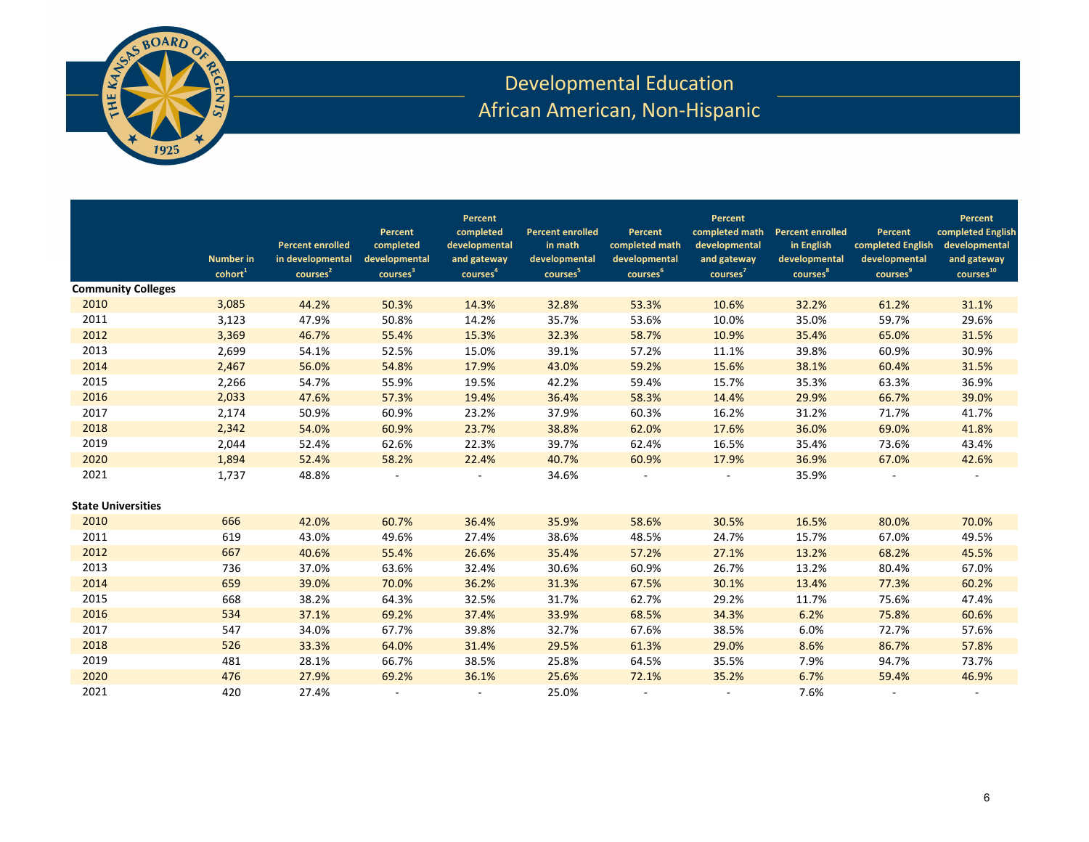

## Developmental Education African American, Non-Hispanic

|                           | <b>Number in</b><br>$\text{cohort}^1$ | <b>Percent enrolled</b><br>in developmental<br>courses <sup>2</sup> | Percent<br>completed<br>developmental<br>courses <sup>3</sup> | Percent<br>completed<br>developmental<br>and gateway<br>courses <sup>4</sup> | <b>Percent enrolled</b><br>in math<br>developmental<br>courses <sup>5</sup> | Percent<br>completed math<br>developmental<br>courses <sup>6</sup> | Percent<br>completed math<br>developmental<br>and gateway<br>courses <sup>7</sup> | <b>Percent enrolled</b><br>in English<br>developmental<br>courses <sup>8</sup> | Percent<br>completed English<br>developmental<br>courses <sup>9</sup> | Percent<br>completed English<br>developmental<br>and gateway<br>courses <sup>10</sup> |
|---------------------------|---------------------------------------|---------------------------------------------------------------------|---------------------------------------------------------------|------------------------------------------------------------------------------|-----------------------------------------------------------------------------|--------------------------------------------------------------------|-----------------------------------------------------------------------------------|--------------------------------------------------------------------------------|-----------------------------------------------------------------------|---------------------------------------------------------------------------------------|
| <b>Community Colleges</b> |                                       |                                                                     |                                                               |                                                                              |                                                                             |                                                                    |                                                                                   |                                                                                |                                                                       |                                                                                       |
| 2010                      | 3,085                                 | 44.2%                                                               | 50.3%                                                         | 14.3%                                                                        | 32.8%                                                                       | 53.3%                                                              | 10.6%                                                                             | 32.2%                                                                          | 61.2%                                                                 | 31.1%                                                                                 |
| 2011                      | 3,123                                 | 47.9%                                                               | 50.8%                                                         | 14.2%                                                                        | 35.7%                                                                       | 53.6%                                                              | 10.0%                                                                             | 35.0%                                                                          | 59.7%                                                                 | 29.6%                                                                                 |
| 2012                      | 3,369                                 | 46.7%                                                               | 55.4%                                                         | 15.3%                                                                        | 32.3%                                                                       | 58.7%                                                              | 10.9%                                                                             | 35.4%                                                                          | 65.0%                                                                 | 31.5%                                                                                 |
| 2013                      | 2,699                                 | 54.1%                                                               | 52.5%                                                         | 15.0%                                                                        | 39.1%                                                                       | 57.2%                                                              | 11.1%                                                                             | 39.8%                                                                          | 60.9%                                                                 | 30.9%                                                                                 |
| 2014                      | 2,467                                 | 56.0%                                                               | 54.8%                                                         | 17.9%                                                                        | 43.0%                                                                       | 59.2%                                                              | 15.6%                                                                             | 38.1%                                                                          | 60.4%                                                                 | 31.5%                                                                                 |
| 2015                      | 2,266                                 | 54.7%                                                               | 55.9%                                                         | 19.5%                                                                        | 42.2%                                                                       | 59.4%                                                              | 15.7%                                                                             | 35.3%                                                                          | 63.3%                                                                 | 36.9%                                                                                 |
| 2016                      | 2,033                                 | 47.6%                                                               | 57.3%                                                         | 19.4%                                                                        | 36.4%                                                                       | 58.3%                                                              | 14.4%                                                                             | 29.9%                                                                          | 66.7%                                                                 | 39.0%                                                                                 |
| 2017                      | 2,174                                 | 50.9%                                                               | 60.9%                                                         | 23.2%                                                                        | 37.9%                                                                       | 60.3%                                                              | 16.2%                                                                             | 31.2%                                                                          | 71.7%                                                                 | 41.7%                                                                                 |
| 2018                      | 2,342                                 | 54.0%                                                               | 60.9%                                                         | 23.7%                                                                        | 38.8%                                                                       | 62.0%                                                              | 17.6%                                                                             | 36.0%                                                                          | 69.0%                                                                 | 41.8%                                                                                 |
| 2019                      | 2,044                                 | 52.4%                                                               | 62.6%                                                         | 22.3%                                                                        | 39.7%                                                                       | 62.4%                                                              | 16.5%                                                                             | 35.4%                                                                          | 73.6%                                                                 | 43.4%                                                                                 |
| 2020                      | 1,894                                 | 52.4%                                                               | 58.2%                                                         | 22.4%                                                                        | 40.7%                                                                       | 60.9%                                                              | 17.9%                                                                             | 36.9%                                                                          | 67.0%                                                                 | 42.6%                                                                                 |
| 2021                      | 1,737                                 | 48.8%                                                               |                                                               |                                                                              | 34.6%                                                                       |                                                                    |                                                                                   | 35.9%                                                                          |                                                                       |                                                                                       |
| <b>State Universities</b> |                                       |                                                                     |                                                               |                                                                              |                                                                             |                                                                    |                                                                                   |                                                                                |                                                                       |                                                                                       |
| 2010                      | 666                                   | 42.0%                                                               | 60.7%                                                         | 36.4%                                                                        | 35.9%                                                                       | 58.6%                                                              | 30.5%                                                                             | 16.5%                                                                          | 80.0%                                                                 | 70.0%                                                                                 |
| 2011                      | 619                                   | 43.0%                                                               | 49.6%                                                         | 27.4%                                                                        | 38.6%                                                                       | 48.5%                                                              | 24.7%                                                                             | 15.7%                                                                          | 67.0%                                                                 | 49.5%                                                                                 |
| 2012                      | 667                                   | 40.6%                                                               | 55.4%                                                         | 26.6%                                                                        | 35.4%                                                                       | 57.2%                                                              | 27.1%                                                                             | 13.2%                                                                          | 68.2%                                                                 | 45.5%                                                                                 |
| 2013                      | 736                                   | 37.0%                                                               | 63.6%                                                         | 32.4%                                                                        | 30.6%                                                                       | 60.9%                                                              | 26.7%                                                                             | 13.2%                                                                          | 80.4%                                                                 | 67.0%                                                                                 |
| 2014                      | 659                                   | 39.0%                                                               | 70.0%                                                         | 36.2%                                                                        | 31.3%                                                                       | 67.5%                                                              | 30.1%                                                                             | 13.4%                                                                          | 77.3%                                                                 | 60.2%                                                                                 |
| 2015                      | 668                                   | 38.2%                                                               | 64.3%                                                         | 32.5%                                                                        | 31.7%                                                                       | 62.7%                                                              | 29.2%                                                                             | 11.7%                                                                          | 75.6%                                                                 | 47.4%                                                                                 |
| 2016                      | 534                                   | 37.1%                                                               | 69.2%                                                         | 37.4%                                                                        | 33.9%                                                                       | 68.5%                                                              | 34.3%                                                                             | 6.2%                                                                           | 75.8%                                                                 | 60.6%                                                                                 |
| 2017                      | 547                                   | 34.0%                                                               | 67.7%                                                         | 39.8%                                                                        | 32.7%                                                                       | 67.6%                                                              | 38.5%                                                                             | 6.0%                                                                           | 72.7%                                                                 | 57.6%                                                                                 |
| 2018                      | 526                                   | 33.3%                                                               | 64.0%                                                         | 31.4%                                                                        | 29.5%                                                                       | 61.3%                                                              | 29.0%                                                                             | 8.6%                                                                           | 86.7%                                                                 | 57.8%                                                                                 |
| 2019                      | 481                                   | 28.1%                                                               | 66.7%                                                         | 38.5%                                                                        | 25.8%                                                                       | 64.5%                                                              | 35.5%                                                                             | 7.9%                                                                           | 94.7%                                                                 | 73.7%                                                                                 |
| 2020                      | 476                                   | 27.9%                                                               | 69.2%                                                         | 36.1%                                                                        | 25.6%                                                                       | 72.1%                                                              | 35.2%                                                                             | 6.7%                                                                           | 59.4%                                                                 | 46.9%                                                                                 |
| 2021                      | 420                                   | 27.4%                                                               |                                                               | $\sim$                                                                       | 25.0%                                                                       | $\sim$                                                             |                                                                                   | 7.6%                                                                           | $\overline{\phantom{a}}$                                              |                                                                                       |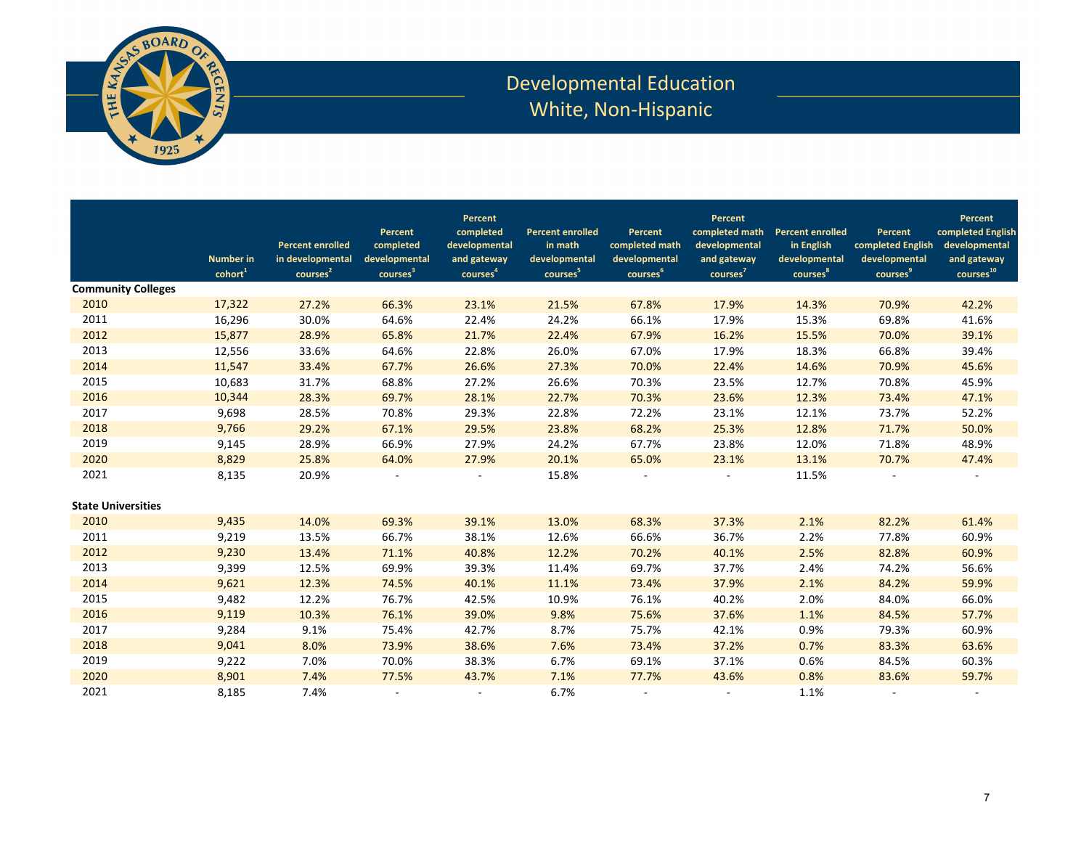

## Developmental Education White, Non-Hispanic

| Percent<br>Percent<br>Percent<br>completed math<br>completed English<br>completed<br><b>Percent enrolled</b><br><b>Percent enrolled</b><br>Percent<br>Percent<br>Percent<br>developmental<br><b>Percent enrolled</b><br>completed<br>developmental<br>in math<br>completed math<br>in English<br>completed English<br>developmental<br>in developmental<br>developmental<br>developmental<br>developmental<br>developmental<br>developmental<br>and gateway<br><b>Number in</b><br>and gateway<br>and gateway<br>$\,$ courses $^{10}$<br>courses <sup>3</sup><br>courses <sup>8</sup><br>courses <sup>9</sup><br>courses <sup>4</sup><br>courses <sup>5</sup><br>courses <sup>6</sup><br>courses <sup>7</sup><br>cohort <sup>1</sup><br>courses <sup>2</sup><br><b>Community Colleges</b><br>2010<br>17,322<br>27.2%<br>66.3%<br>23.1%<br>21.5%<br>67.8%<br>17.9%<br>14.3%<br>70.9%<br>42.2%<br>2011<br>30.0%<br>22.4%<br>24.2%<br>66.1%<br>17.9%<br>69.8%<br>41.6%<br>16,296<br>64.6%<br>15.3%<br>2012<br>15,877<br>28.9%<br>65.8%<br>21.7%<br>22.4%<br>67.9%<br>16.2%<br>15.5%<br>70.0%<br>39.1%<br>2013<br>39.4%<br>12,556<br>33.6%<br>64.6%<br>22.8%<br>26.0%<br>67.0%<br>17.9%<br>18.3%<br>66.8%<br>2014<br>11,547<br>33.4%<br>67.7%<br>26.6%<br>70.0%<br>45.6%<br>27.3%<br>22.4%<br>14.6%<br>70.9%<br>2015<br>31.7%<br>68.8%<br>27.2%<br>23.5%<br>45.9%<br>10,683<br>26.6%<br>70.3%<br>12.7%<br>70.8%<br>2016<br>10,344<br>28.3%<br>69.7%<br>28.1%<br>70.3%<br>23.6%<br>47.1%<br>22.7%<br>12.3%<br>73.4%<br>2017<br>28.5%<br>29.3%<br>52.2%<br>9,698<br>70.8%<br>22.8%<br>72.2%<br>23.1%<br>12.1%<br>73.7%<br>2018<br>9,766<br>50.0%<br>29.2%<br>67.1%<br>29.5%<br>23.8%<br>68.2%<br>25.3%<br>12.8%<br>71.7%<br>2019<br>28.9%<br>27.9%<br>67.7%<br>48.9%<br>9,145<br>66.9%<br>24.2%<br>23.8%<br>12.0%<br>71.8%<br>2020<br>8,829<br>25.8%<br>27.9%<br>20.1%<br>23.1%<br>47.4%<br>64.0%<br>65.0%<br>13.1%<br>70.7%<br>2021<br>8,135<br>20.9%<br>15.8%<br>11.5%<br>2010<br>9,435<br>14.0%<br>61.4%<br>69.3%<br>39.1%<br>13.0%<br>68.3%<br>37.3%<br>2.1%<br>82.2%<br>2011<br>9,219<br>13.5%<br>66.7%<br>38.1%<br>66.6%<br>36.7%<br>77.8%<br>60.9%<br>12.6%<br>2.2%<br>2012<br>9,230<br>70.2%<br>60.9%<br>13.4%<br>71.1%<br>40.8%<br>12.2%<br>40.1%<br>2.5%<br>82.8%<br>2013<br>9,399<br>12.5%<br>69.9%<br>39.3%<br>11.4%<br>69.7%<br>37.7%<br>74.2%<br>56.6%<br>2.4%<br>2014<br>9,621<br>12.3%<br>84.2%<br>59.9%<br>74.5%<br>40.1%<br>11.1%<br>73.4%<br>37.9%<br>2.1%<br>2015<br>12.2%<br>76.1%<br>66.0%<br>9,482<br>76.7%<br>42.5%<br>10.9%<br>40.2%<br>2.0%<br>84.0%<br>2016<br>57.7%<br>9,119<br>10.3%<br>76.1%<br>39.0%<br>9.8%<br>75.6%<br>37.6%<br>1.1%<br>84.5% |                           |       |      |       |       |      |       |       |      |       |       |
|--------------------------------------------------------------------------------------------------------------------------------------------------------------------------------------------------------------------------------------------------------------------------------------------------------------------------------------------------------------------------------------------------------------------------------------------------------------------------------------------------------------------------------------------------------------------------------------------------------------------------------------------------------------------------------------------------------------------------------------------------------------------------------------------------------------------------------------------------------------------------------------------------------------------------------------------------------------------------------------------------------------------------------------------------------------------------------------------------------------------------------------------------------------------------------------------------------------------------------------------------------------------------------------------------------------------------------------------------------------------------------------------------------------------------------------------------------------------------------------------------------------------------------------------------------------------------------------------------------------------------------------------------------------------------------------------------------------------------------------------------------------------------------------------------------------------------------------------------------------------------------------------------------------------------------------------------------------------------------------------------------------------------------------------------------------------------------------------------------------------------------------------------------------------------------------------------------------------------------------------------------------------------------------------------------------------------------------------------------------------------------------------------------------------------------------------------------------------------------------------------------------------------------------------------------------------------------------------------------------------------------------------------------------------------|---------------------------|-------|------|-------|-------|------|-------|-------|------|-------|-------|
|                                                                                                                                                                                                                                                                                                                                                                                                                                                                                                                                                                                                                                                                                                                                                                                                                                                                                                                                                                                                                                                                                                                                                                                                                                                                                                                                                                                                                                                                                                                                                                                                                                                                                                                                                                                                                                                                                                                                                                                                                                                                                                                                                                                                                                                                                                                                                                                                                                                                                                                                                                                                                                                                          |                           |       |      |       |       |      |       |       |      |       |       |
|                                                                                                                                                                                                                                                                                                                                                                                                                                                                                                                                                                                                                                                                                                                                                                                                                                                                                                                                                                                                                                                                                                                                                                                                                                                                                                                                                                                                                                                                                                                                                                                                                                                                                                                                                                                                                                                                                                                                                                                                                                                                                                                                                                                                                                                                                                                                                                                                                                                                                                                                                                                                                                                                          |                           |       |      |       |       |      |       |       |      |       |       |
|                                                                                                                                                                                                                                                                                                                                                                                                                                                                                                                                                                                                                                                                                                                                                                                                                                                                                                                                                                                                                                                                                                                                                                                                                                                                                                                                                                                                                                                                                                                                                                                                                                                                                                                                                                                                                                                                                                                                                                                                                                                                                                                                                                                                                                                                                                                                                                                                                                                                                                                                                                                                                                                                          |                           |       |      |       |       |      |       |       |      |       |       |
|                                                                                                                                                                                                                                                                                                                                                                                                                                                                                                                                                                                                                                                                                                                                                                                                                                                                                                                                                                                                                                                                                                                                                                                                                                                                                                                                                                                                                                                                                                                                                                                                                                                                                                                                                                                                                                                                                                                                                                                                                                                                                                                                                                                                                                                                                                                                                                                                                                                                                                                                                                                                                                                                          |                           |       |      |       |       |      |       |       |      |       |       |
|                                                                                                                                                                                                                                                                                                                                                                                                                                                                                                                                                                                                                                                                                                                                                                                                                                                                                                                                                                                                                                                                                                                                                                                                                                                                                                                                                                                                                                                                                                                                                                                                                                                                                                                                                                                                                                                                                                                                                                                                                                                                                                                                                                                                                                                                                                                                                                                                                                                                                                                                                                                                                                                                          |                           |       |      |       |       |      |       |       |      |       |       |
|                                                                                                                                                                                                                                                                                                                                                                                                                                                                                                                                                                                                                                                                                                                                                                                                                                                                                                                                                                                                                                                                                                                                                                                                                                                                                                                                                                                                                                                                                                                                                                                                                                                                                                                                                                                                                                                                                                                                                                                                                                                                                                                                                                                                                                                                                                                                                                                                                                                                                                                                                                                                                                                                          |                           |       |      |       |       |      |       |       |      |       |       |
|                                                                                                                                                                                                                                                                                                                                                                                                                                                                                                                                                                                                                                                                                                                                                                                                                                                                                                                                                                                                                                                                                                                                                                                                                                                                                                                                                                                                                                                                                                                                                                                                                                                                                                                                                                                                                                                                                                                                                                                                                                                                                                                                                                                                                                                                                                                                                                                                                                                                                                                                                                                                                                                                          |                           |       |      |       |       |      |       |       |      |       |       |
|                                                                                                                                                                                                                                                                                                                                                                                                                                                                                                                                                                                                                                                                                                                                                                                                                                                                                                                                                                                                                                                                                                                                                                                                                                                                                                                                                                                                                                                                                                                                                                                                                                                                                                                                                                                                                                                                                                                                                                                                                                                                                                                                                                                                                                                                                                                                                                                                                                                                                                                                                                                                                                                                          |                           |       |      |       |       |      |       |       |      |       |       |
|                                                                                                                                                                                                                                                                                                                                                                                                                                                                                                                                                                                                                                                                                                                                                                                                                                                                                                                                                                                                                                                                                                                                                                                                                                                                                                                                                                                                                                                                                                                                                                                                                                                                                                                                                                                                                                                                                                                                                                                                                                                                                                                                                                                                                                                                                                                                                                                                                                                                                                                                                                                                                                                                          |                           |       |      |       |       |      |       |       |      |       |       |
|                                                                                                                                                                                                                                                                                                                                                                                                                                                                                                                                                                                                                                                                                                                                                                                                                                                                                                                                                                                                                                                                                                                                                                                                                                                                                                                                                                                                                                                                                                                                                                                                                                                                                                                                                                                                                                                                                                                                                                                                                                                                                                                                                                                                                                                                                                                                                                                                                                                                                                                                                                                                                                                                          |                           |       |      |       |       |      |       |       |      |       |       |
|                                                                                                                                                                                                                                                                                                                                                                                                                                                                                                                                                                                                                                                                                                                                                                                                                                                                                                                                                                                                                                                                                                                                                                                                                                                                                                                                                                                                                                                                                                                                                                                                                                                                                                                                                                                                                                                                                                                                                                                                                                                                                                                                                                                                                                                                                                                                                                                                                                                                                                                                                                                                                                                                          |                           |       |      |       |       |      |       |       |      |       |       |
|                                                                                                                                                                                                                                                                                                                                                                                                                                                                                                                                                                                                                                                                                                                                                                                                                                                                                                                                                                                                                                                                                                                                                                                                                                                                                                                                                                                                                                                                                                                                                                                                                                                                                                                                                                                                                                                                                                                                                                                                                                                                                                                                                                                                                                                                                                                                                                                                                                                                                                                                                                                                                                                                          |                           |       |      |       |       |      |       |       |      |       |       |
|                                                                                                                                                                                                                                                                                                                                                                                                                                                                                                                                                                                                                                                                                                                                                                                                                                                                                                                                                                                                                                                                                                                                                                                                                                                                                                                                                                                                                                                                                                                                                                                                                                                                                                                                                                                                                                                                                                                                                                                                                                                                                                                                                                                                                                                                                                                                                                                                                                                                                                                                                                                                                                                                          |                           |       |      |       |       |      |       |       |      |       |       |
|                                                                                                                                                                                                                                                                                                                                                                                                                                                                                                                                                                                                                                                                                                                                                                                                                                                                                                                                                                                                                                                                                                                                                                                                                                                                                                                                                                                                                                                                                                                                                                                                                                                                                                                                                                                                                                                                                                                                                                                                                                                                                                                                                                                                                                                                                                                                                                                                                                                                                                                                                                                                                                                                          |                           |       |      |       |       |      |       |       |      |       |       |
|                                                                                                                                                                                                                                                                                                                                                                                                                                                                                                                                                                                                                                                                                                                                                                                                                                                                                                                                                                                                                                                                                                                                                                                                                                                                                                                                                                                                                                                                                                                                                                                                                                                                                                                                                                                                                                                                                                                                                                                                                                                                                                                                                                                                                                                                                                                                                                                                                                                                                                                                                                                                                                                                          |                           |       |      |       |       |      |       |       |      |       |       |
|                                                                                                                                                                                                                                                                                                                                                                                                                                                                                                                                                                                                                                                                                                                                                                                                                                                                                                                                                                                                                                                                                                                                                                                                                                                                                                                                                                                                                                                                                                                                                                                                                                                                                                                                                                                                                                                                                                                                                                                                                                                                                                                                                                                                                                                                                                                                                                                                                                                                                                                                                                                                                                                                          |                           |       |      |       |       |      |       |       |      |       |       |
|                                                                                                                                                                                                                                                                                                                                                                                                                                                                                                                                                                                                                                                                                                                                                                                                                                                                                                                                                                                                                                                                                                                                                                                                                                                                                                                                                                                                                                                                                                                                                                                                                                                                                                                                                                                                                                                                                                                                                                                                                                                                                                                                                                                                                                                                                                                                                                                                                                                                                                                                                                                                                                                                          |                           |       |      |       |       |      |       |       |      |       |       |
|                                                                                                                                                                                                                                                                                                                                                                                                                                                                                                                                                                                                                                                                                                                                                                                                                                                                                                                                                                                                                                                                                                                                                                                                                                                                                                                                                                                                                                                                                                                                                                                                                                                                                                                                                                                                                                                                                                                                                                                                                                                                                                                                                                                                                                                                                                                                                                                                                                                                                                                                                                                                                                                                          |                           |       |      |       |       |      |       |       |      |       |       |
|                                                                                                                                                                                                                                                                                                                                                                                                                                                                                                                                                                                                                                                                                                                                                                                                                                                                                                                                                                                                                                                                                                                                                                                                                                                                                                                                                                                                                                                                                                                                                                                                                                                                                                                                                                                                                                                                                                                                                                                                                                                                                                                                                                                                                                                                                                                                                                                                                                                                                                                                                                                                                                                                          |                           |       |      |       |       |      |       |       |      |       |       |
|                                                                                                                                                                                                                                                                                                                                                                                                                                                                                                                                                                                                                                                                                                                                                                                                                                                                                                                                                                                                                                                                                                                                                                                                                                                                                                                                                                                                                                                                                                                                                                                                                                                                                                                                                                                                                                                                                                                                                                                                                                                                                                                                                                                                                                                                                                                                                                                                                                                                                                                                                                                                                                                                          | <b>State Universities</b> |       |      |       |       |      |       |       |      |       |       |
|                                                                                                                                                                                                                                                                                                                                                                                                                                                                                                                                                                                                                                                                                                                                                                                                                                                                                                                                                                                                                                                                                                                                                                                                                                                                                                                                                                                                                                                                                                                                                                                                                                                                                                                                                                                                                                                                                                                                                                                                                                                                                                                                                                                                                                                                                                                                                                                                                                                                                                                                                                                                                                                                          |                           |       |      |       |       |      |       |       |      |       |       |
|                                                                                                                                                                                                                                                                                                                                                                                                                                                                                                                                                                                                                                                                                                                                                                                                                                                                                                                                                                                                                                                                                                                                                                                                                                                                                                                                                                                                                                                                                                                                                                                                                                                                                                                                                                                                                                                                                                                                                                                                                                                                                                                                                                                                                                                                                                                                                                                                                                                                                                                                                                                                                                                                          |                           |       |      |       |       |      |       |       |      |       |       |
|                                                                                                                                                                                                                                                                                                                                                                                                                                                                                                                                                                                                                                                                                                                                                                                                                                                                                                                                                                                                                                                                                                                                                                                                                                                                                                                                                                                                                                                                                                                                                                                                                                                                                                                                                                                                                                                                                                                                                                                                                                                                                                                                                                                                                                                                                                                                                                                                                                                                                                                                                                                                                                                                          |                           |       |      |       |       |      |       |       |      |       |       |
|                                                                                                                                                                                                                                                                                                                                                                                                                                                                                                                                                                                                                                                                                                                                                                                                                                                                                                                                                                                                                                                                                                                                                                                                                                                                                                                                                                                                                                                                                                                                                                                                                                                                                                                                                                                                                                                                                                                                                                                                                                                                                                                                                                                                                                                                                                                                                                                                                                                                                                                                                                                                                                                                          |                           |       |      |       |       |      |       |       |      |       |       |
|                                                                                                                                                                                                                                                                                                                                                                                                                                                                                                                                                                                                                                                                                                                                                                                                                                                                                                                                                                                                                                                                                                                                                                                                                                                                                                                                                                                                                                                                                                                                                                                                                                                                                                                                                                                                                                                                                                                                                                                                                                                                                                                                                                                                                                                                                                                                                                                                                                                                                                                                                                                                                                                                          |                           |       |      |       |       |      |       |       |      |       |       |
|                                                                                                                                                                                                                                                                                                                                                                                                                                                                                                                                                                                                                                                                                                                                                                                                                                                                                                                                                                                                                                                                                                                                                                                                                                                                                                                                                                                                                                                                                                                                                                                                                                                                                                                                                                                                                                                                                                                                                                                                                                                                                                                                                                                                                                                                                                                                                                                                                                                                                                                                                                                                                                                                          |                           |       |      |       |       |      |       |       |      |       |       |
|                                                                                                                                                                                                                                                                                                                                                                                                                                                                                                                                                                                                                                                                                                                                                                                                                                                                                                                                                                                                                                                                                                                                                                                                                                                                                                                                                                                                                                                                                                                                                                                                                                                                                                                                                                                                                                                                                                                                                                                                                                                                                                                                                                                                                                                                                                                                                                                                                                                                                                                                                                                                                                                                          |                           |       |      |       |       |      |       |       |      |       |       |
|                                                                                                                                                                                                                                                                                                                                                                                                                                                                                                                                                                                                                                                                                                                                                                                                                                                                                                                                                                                                                                                                                                                                                                                                                                                                                                                                                                                                                                                                                                                                                                                                                                                                                                                                                                                                                                                                                                                                                                                                                                                                                                                                                                                                                                                                                                                                                                                                                                                                                                                                                                                                                                                                          | 2017                      | 9,284 | 9.1% | 75.4% | 42.7% | 8.7% | 75.7% | 42.1% | 0.9% | 79.3% | 60.9% |
| 2018<br>8.0%<br>38.6%<br>73.4%<br>37.2%<br>63.6%<br>9,041<br>73.9%<br>7.6%<br>0.7%<br>83.3%                                                                                                                                                                                                                                                                                                                                                                                                                                                                                                                                                                                                                                                                                                                                                                                                                                                                                                                                                                                                                                                                                                                                                                                                                                                                                                                                                                                                                                                                                                                                                                                                                                                                                                                                                                                                                                                                                                                                                                                                                                                                                                                                                                                                                                                                                                                                                                                                                                                                                                                                                                              |                           |       |      |       |       |      |       |       |      |       |       |
| 2019<br>60.3%<br>9,222<br>7.0%<br>70.0%<br>38.3%<br>6.7%<br>69.1%<br>37.1%<br>0.6%<br>84.5%                                                                                                                                                                                                                                                                                                                                                                                                                                                                                                                                                                                                                                                                                                                                                                                                                                                                                                                                                                                                                                                                                                                                                                                                                                                                                                                                                                                                                                                                                                                                                                                                                                                                                                                                                                                                                                                                                                                                                                                                                                                                                                                                                                                                                                                                                                                                                                                                                                                                                                                                                                              |                           |       |      |       |       |      |       |       |      |       |       |
| 2020<br>59.7%<br>8,901<br>7.4%<br>77.5%<br>43.7%<br>7.1%<br>77.7%<br>0.8%<br>83.6%<br>43.6%                                                                                                                                                                                                                                                                                                                                                                                                                                                                                                                                                                                                                                                                                                                                                                                                                                                                                                                                                                                                                                                                                                                                                                                                                                                                                                                                                                                                                                                                                                                                                                                                                                                                                                                                                                                                                                                                                                                                                                                                                                                                                                                                                                                                                                                                                                                                                                                                                                                                                                                                                                              |                           |       |      |       |       |      |       |       |      |       |       |
| 2021<br>8,185<br>7.4%<br>6.7%<br>1.1%<br>$\sim$<br>$\sim$                                                                                                                                                                                                                                                                                                                                                                                                                                                                                                                                                                                                                                                                                                                                                                                                                                                                                                                                                                                                                                                                                                                                                                                                                                                                                                                                                                                                                                                                                                                                                                                                                                                                                                                                                                                                                                                                                                                                                                                                                                                                                                                                                                                                                                                                                                                                                                                                                                                                                                                                                                                                                |                           |       |      |       |       |      |       |       |      |       |       |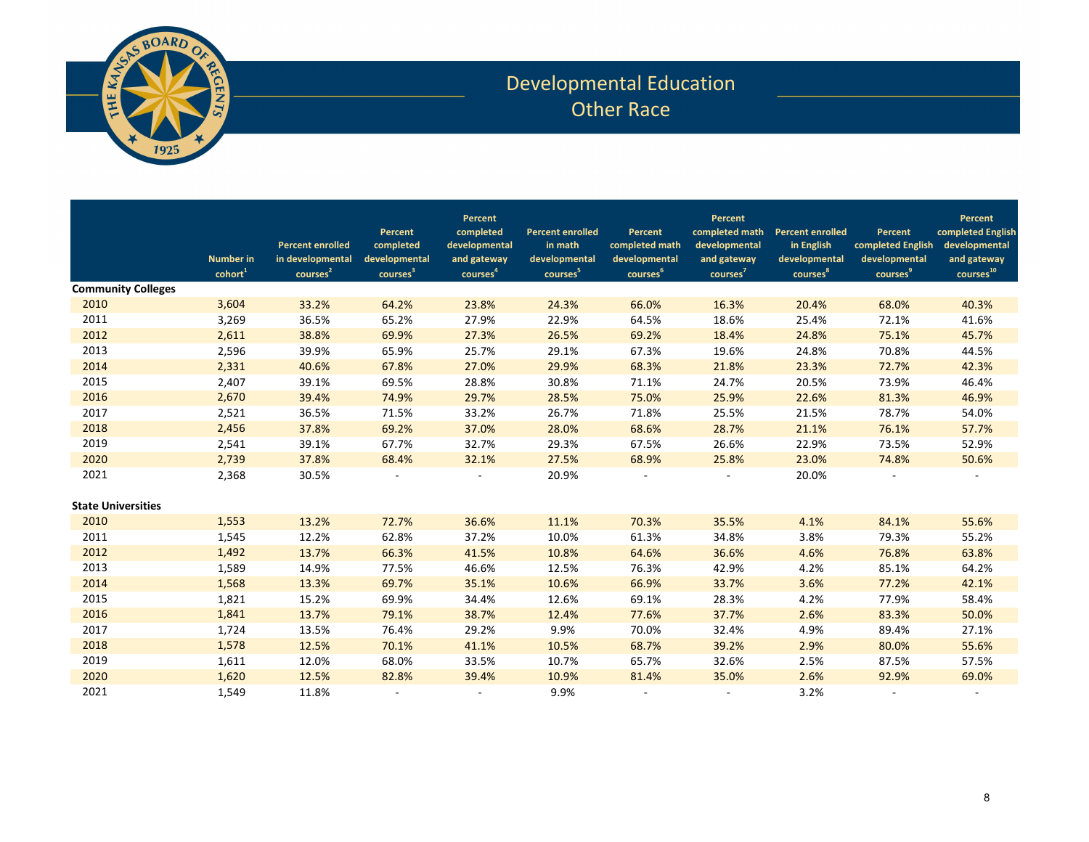

## Developmental Education Other Race

|                           | <b>Number in</b><br>$\text{cohort}^1$ | <b>Percent enrolled</b><br>in developmental<br>courses <sup>2</sup> | Percent<br>completed<br>developmental<br>courses <sup>3</sup> | Percent<br>completed<br>developmental<br>and gateway<br>courses <sup>4</sup> | <b>Percent enrolled</b><br>in math<br>developmental<br>courses <sup>5</sup> | Percent<br>completed math<br>developmental<br>courses <sup>6</sup> | Percent<br>completed math<br>developmental<br>and gateway<br>courses <sup>7</sup> | <b>Percent enrolled</b><br>in English<br>developmental<br>courses <sup>8</sup> | Percent<br>completed English<br>developmental<br>courses <sup>9</sup> | Percent<br>completed English<br>developmental<br>and gateway<br>courses <sup>10</sup> |
|---------------------------|---------------------------------------|---------------------------------------------------------------------|---------------------------------------------------------------|------------------------------------------------------------------------------|-----------------------------------------------------------------------------|--------------------------------------------------------------------|-----------------------------------------------------------------------------------|--------------------------------------------------------------------------------|-----------------------------------------------------------------------|---------------------------------------------------------------------------------------|
| <b>Community Colleges</b> |                                       |                                                                     |                                                               |                                                                              |                                                                             |                                                                    |                                                                                   |                                                                                |                                                                       |                                                                                       |
| 2010                      | 3,604                                 | 33.2%                                                               | 64.2%                                                         | 23.8%                                                                        | 24.3%                                                                       | 66.0%                                                              | 16.3%                                                                             | 20.4%                                                                          | 68.0%                                                                 | 40.3%                                                                                 |
| 2011                      | 3,269                                 | 36.5%                                                               | 65.2%                                                         | 27.9%                                                                        | 22.9%                                                                       | 64.5%                                                              | 18.6%                                                                             | 25.4%                                                                          | 72.1%                                                                 | 41.6%                                                                                 |
| 2012                      | 2,611                                 | 38.8%                                                               | 69.9%                                                         | 27.3%                                                                        | 26.5%                                                                       | 69.2%                                                              | 18.4%                                                                             | 24.8%                                                                          | 75.1%                                                                 | 45.7%                                                                                 |
| 2013                      | 2,596                                 | 39.9%                                                               | 65.9%                                                         | 25.7%                                                                        | 29.1%                                                                       | 67.3%                                                              | 19.6%                                                                             | 24.8%                                                                          | 70.8%                                                                 | 44.5%                                                                                 |
| 2014                      | 2,331                                 | 40.6%                                                               | 67.8%                                                         | 27.0%                                                                        | 29.9%                                                                       | 68.3%                                                              | 21.8%                                                                             | 23.3%                                                                          | 72.7%                                                                 | 42.3%                                                                                 |
| 2015                      | 2,407                                 | 39.1%                                                               | 69.5%                                                         | 28.8%                                                                        | 30.8%                                                                       | 71.1%                                                              | 24.7%                                                                             | 20.5%                                                                          | 73.9%                                                                 | 46.4%                                                                                 |
| 2016                      | 2,670                                 | 39.4%                                                               | 74.9%                                                         | 29.7%                                                                        | 28.5%                                                                       | 75.0%                                                              | 25.9%                                                                             | 22.6%                                                                          | 81.3%                                                                 | 46.9%                                                                                 |
| 2017                      | 2,521                                 | 36.5%                                                               | 71.5%                                                         | 33.2%                                                                        | 26.7%                                                                       | 71.8%                                                              | 25.5%                                                                             | 21.5%                                                                          | 78.7%                                                                 | 54.0%                                                                                 |
| 2018                      | 2,456                                 | 37.8%                                                               | 69.2%                                                         | 37.0%                                                                        | 28.0%                                                                       | 68.6%                                                              | 28.7%                                                                             | 21.1%                                                                          | 76.1%                                                                 | 57.7%                                                                                 |
| 2019                      | 2,541                                 | 39.1%                                                               | 67.7%                                                         | 32.7%                                                                        | 29.3%                                                                       | 67.5%                                                              | 26.6%                                                                             | 22.9%                                                                          | 73.5%                                                                 | 52.9%                                                                                 |
| 2020                      | 2,739                                 | 37.8%                                                               | 68.4%                                                         | 32.1%                                                                        | 27.5%                                                                       | 68.9%                                                              | 25.8%                                                                             | 23.0%                                                                          | 74.8%                                                                 | 50.6%                                                                                 |
| 2021                      | 2,368                                 | 30.5%                                                               |                                                               |                                                                              | 20.9%                                                                       |                                                                    |                                                                                   | 20.0%                                                                          |                                                                       |                                                                                       |
| <b>State Universities</b> |                                       |                                                                     |                                                               |                                                                              |                                                                             |                                                                    |                                                                                   |                                                                                |                                                                       |                                                                                       |
| 2010                      | 1,553                                 | 13.2%                                                               | 72.7%                                                         | 36.6%                                                                        | 11.1%                                                                       | 70.3%                                                              | 35.5%                                                                             | 4.1%                                                                           | 84.1%                                                                 | 55.6%                                                                                 |
| 2011                      | 1,545                                 | 12.2%                                                               | 62.8%                                                         | 37.2%                                                                        | 10.0%                                                                       | 61.3%                                                              | 34.8%                                                                             | 3.8%                                                                           | 79.3%                                                                 | 55.2%                                                                                 |
| 2012                      | 1,492                                 | 13.7%                                                               | 66.3%                                                         | 41.5%                                                                        | 10.8%                                                                       | 64.6%                                                              | 36.6%                                                                             | 4.6%                                                                           | 76.8%                                                                 | 63.8%                                                                                 |
| 2013                      | 1,589                                 | 14.9%                                                               | 77.5%                                                         | 46.6%                                                                        | 12.5%                                                                       | 76.3%                                                              | 42.9%                                                                             | 4.2%                                                                           | 85.1%                                                                 | 64.2%                                                                                 |
| 2014                      | 1,568                                 | 13.3%                                                               | 69.7%                                                         | 35.1%                                                                        | 10.6%                                                                       | 66.9%                                                              | 33.7%                                                                             | 3.6%                                                                           | 77.2%                                                                 | 42.1%                                                                                 |
| 2015                      | 1,821                                 | 15.2%                                                               | 69.9%                                                         | 34.4%                                                                        | 12.6%                                                                       | 69.1%                                                              | 28.3%                                                                             | 4.2%                                                                           | 77.9%                                                                 | 58.4%                                                                                 |
| 2016                      | 1,841                                 | 13.7%                                                               | 79.1%                                                         | 38.7%                                                                        | 12.4%                                                                       | 77.6%                                                              | 37.7%                                                                             | 2.6%                                                                           | 83.3%                                                                 | 50.0%                                                                                 |
| 2017                      | 1,724                                 | 13.5%                                                               | 76.4%                                                         | 29.2%                                                                        | 9.9%                                                                        | 70.0%                                                              | 32.4%                                                                             | 4.9%                                                                           | 89.4%                                                                 | 27.1%                                                                                 |
| 2018                      | 1,578                                 | 12.5%                                                               | 70.1%                                                         | 41.1%                                                                        | 10.5%                                                                       | 68.7%                                                              | 39.2%                                                                             | 2.9%                                                                           | 80.0%                                                                 | 55.6%                                                                                 |
| 2019                      | 1,611                                 | 12.0%                                                               | 68.0%                                                         | 33.5%                                                                        | 10.7%                                                                       | 65.7%                                                              | 32.6%                                                                             | 2.5%                                                                           | 87.5%                                                                 | 57.5%                                                                                 |
| 2020                      | 1,620                                 | 12.5%                                                               | 82.8%                                                         | 39.4%                                                                        | 10.9%                                                                       | 81.4%                                                              | 35.0%                                                                             | 2.6%                                                                           | 92.9%                                                                 | 69.0%                                                                                 |
| 2021                      | 1,549                                 | 11.8%                                                               |                                                               | $\overline{\phantom{a}}$                                                     | 9.9%                                                                        | $\sim$                                                             |                                                                                   | 3.2%                                                                           | $\overline{\phantom{a}}$                                              |                                                                                       |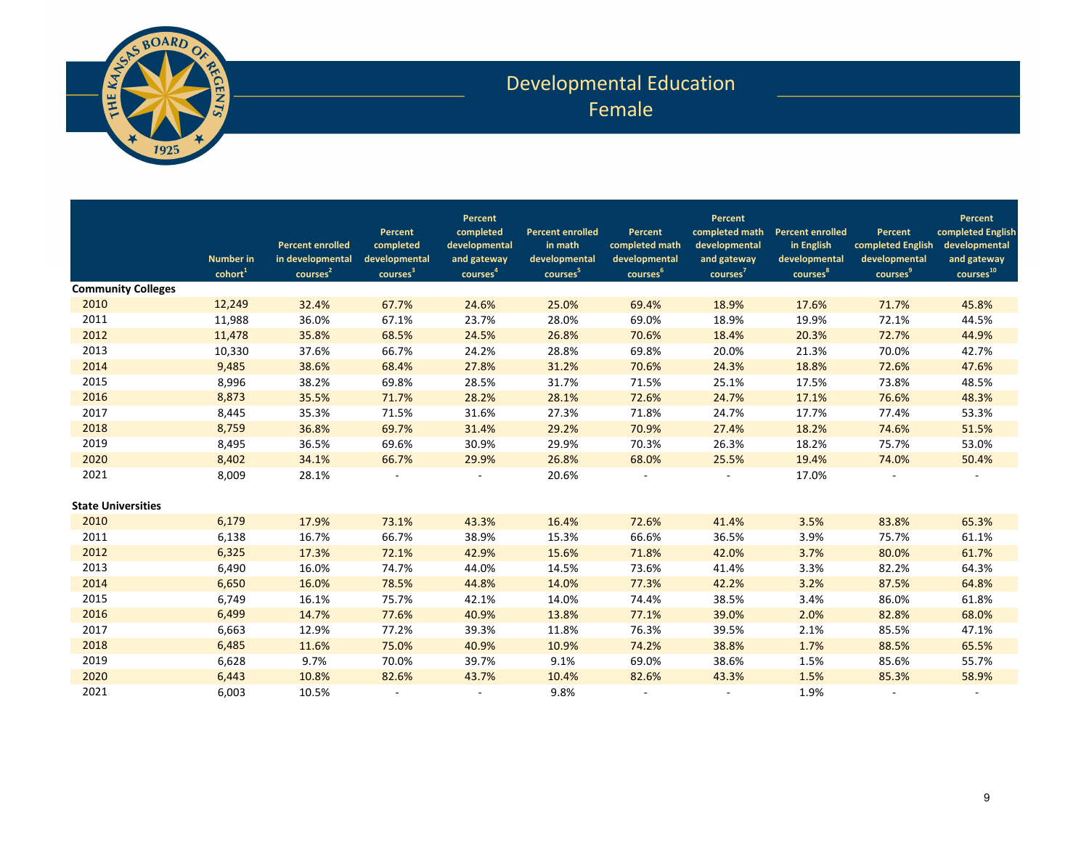

## Developmental Education Female

|                           | <b>Number in</b><br>cohort <sup>1</sup> | <b>Percent enrolled</b><br>in developmental<br>courses <sup>2</sup> | Percent<br>completed<br>developmental<br>courses <sup>3</sup> | Percent<br>completed<br>developmental<br>and gateway<br>courses <sup>4</sup> | <b>Percent enrolled</b><br>in math<br>developmental<br>courses <sup>5</sup> | Percent<br>completed math<br>developmental<br>courses <sup>6</sup> | Percent<br>completed math<br>developmental<br>and gateway<br>courses <sup>7</sup> | <b>Percent enrolled</b><br>in English<br>developmental<br>courses <sup>8</sup> | Percent<br>completed English<br>developmental<br>courses <sup>9</sup> | Percent<br>completed English<br>developmental<br>and gateway<br>courses <sup>10</sup> |
|---------------------------|-----------------------------------------|---------------------------------------------------------------------|---------------------------------------------------------------|------------------------------------------------------------------------------|-----------------------------------------------------------------------------|--------------------------------------------------------------------|-----------------------------------------------------------------------------------|--------------------------------------------------------------------------------|-----------------------------------------------------------------------|---------------------------------------------------------------------------------------|
| <b>Community Colleges</b> |                                         |                                                                     |                                                               |                                                                              |                                                                             |                                                                    |                                                                                   |                                                                                |                                                                       |                                                                                       |
| 2010                      | 12,249                                  | 32.4%                                                               | 67.7%                                                         | 24.6%                                                                        | 25.0%                                                                       | 69.4%                                                              | 18.9%                                                                             | 17.6%                                                                          | 71.7%                                                                 | 45.8%                                                                                 |
| 2011                      | 11,988                                  | 36.0%                                                               | 67.1%                                                         | 23.7%                                                                        | 28.0%                                                                       | 69.0%                                                              | 18.9%                                                                             | 19.9%                                                                          | 72.1%                                                                 | 44.5%                                                                                 |
| 2012                      | 11,478                                  | 35.8%                                                               | 68.5%                                                         | 24.5%                                                                        | 26.8%                                                                       | 70.6%                                                              | 18.4%                                                                             | 20.3%                                                                          | 72.7%                                                                 | 44.9%                                                                                 |
| 2013                      | 10,330                                  | 37.6%                                                               | 66.7%                                                         | 24.2%                                                                        | 28.8%                                                                       | 69.8%                                                              | 20.0%                                                                             | 21.3%                                                                          | 70.0%                                                                 | 42.7%                                                                                 |
| 2014                      | 9,485                                   | 38.6%                                                               | 68.4%                                                         | 27.8%                                                                        | 31.2%                                                                       | 70.6%                                                              | 24.3%                                                                             | 18.8%                                                                          | 72.6%                                                                 | 47.6%                                                                                 |
| 2015                      | 8,996                                   | 38.2%                                                               | 69.8%                                                         | 28.5%                                                                        | 31.7%                                                                       | 71.5%                                                              | 25.1%                                                                             | 17.5%                                                                          | 73.8%                                                                 | 48.5%                                                                                 |
| 2016                      | 8,873                                   | 35.5%                                                               | 71.7%                                                         | 28.2%                                                                        | 28.1%                                                                       | 72.6%                                                              | 24.7%                                                                             | 17.1%                                                                          | 76.6%                                                                 | 48.3%                                                                                 |
| 2017                      | 8,445                                   | 35.3%                                                               | 71.5%                                                         | 31.6%                                                                        | 27.3%                                                                       | 71.8%                                                              | 24.7%                                                                             | 17.7%                                                                          | 77.4%                                                                 | 53.3%                                                                                 |
| 2018                      | 8,759                                   | 36.8%                                                               | 69.7%                                                         | 31.4%                                                                        | 29.2%                                                                       | 70.9%                                                              | 27.4%                                                                             | 18.2%                                                                          | 74.6%                                                                 | 51.5%                                                                                 |
| 2019                      | 8,495                                   | 36.5%                                                               | 69.6%                                                         | 30.9%                                                                        | 29.9%                                                                       | 70.3%                                                              | 26.3%                                                                             | 18.2%                                                                          | 75.7%                                                                 | 53.0%                                                                                 |
| 2020                      | 8,402                                   | 34.1%                                                               | 66.7%                                                         | 29.9%                                                                        | 26.8%                                                                       | 68.0%                                                              | 25.5%                                                                             | 19.4%                                                                          | 74.0%                                                                 | 50.4%                                                                                 |
| 2021                      | 8,009                                   | 28.1%                                                               |                                                               |                                                                              | 20.6%                                                                       |                                                                    |                                                                                   | 17.0%                                                                          |                                                                       |                                                                                       |
| <b>State Universities</b> |                                         |                                                                     |                                                               |                                                                              |                                                                             |                                                                    |                                                                                   |                                                                                |                                                                       |                                                                                       |
| 2010                      | 6,179                                   | 17.9%                                                               | 73.1%                                                         | 43.3%                                                                        | 16.4%                                                                       | 72.6%                                                              | 41.4%                                                                             | 3.5%                                                                           | 83.8%                                                                 | 65.3%                                                                                 |
| 2011                      | 6,138                                   | 16.7%                                                               | 66.7%                                                         | 38.9%                                                                        | 15.3%                                                                       | 66.6%                                                              | 36.5%                                                                             | 3.9%                                                                           | 75.7%                                                                 | 61.1%                                                                                 |
| 2012                      | 6,325                                   | 17.3%                                                               | 72.1%                                                         | 42.9%                                                                        | 15.6%                                                                       | 71.8%                                                              | 42.0%                                                                             | 3.7%                                                                           | 80.0%                                                                 | 61.7%                                                                                 |
| 2013                      | 6,490                                   | 16.0%                                                               | 74.7%                                                         | 44.0%                                                                        | 14.5%                                                                       | 73.6%                                                              | 41.4%                                                                             | 3.3%                                                                           | 82.2%                                                                 | 64.3%                                                                                 |
| 2014                      | 6,650                                   | 16.0%                                                               | 78.5%                                                         | 44.8%                                                                        | 14.0%                                                                       | 77.3%                                                              | 42.2%                                                                             | 3.2%                                                                           | 87.5%                                                                 | 64.8%                                                                                 |
| 2015                      | 6,749                                   | 16.1%                                                               | 75.7%                                                         | 42.1%                                                                        | 14.0%                                                                       | 74.4%                                                              | 38.5%                                                                             | 3.4%                                                                           | 86.0%                                                                 | 61.8%                                                                                 |
| 2016                      | 6,499                                   | 14.7%                                                               | 77.6%                                                         | 40.9%                                                                        | 13.8%                                                                       | 77.1%                                                              | 39.0%                                                                             | 2.0%                                                                           | 82.8%                                                                 | 68.0%                                                                                 |
| 2017                      | 6,663                                   | 12.9%                                                               | 77.2%                                                         | 39.3%                                                                        | 11.8%                                                                       | 76.3%                                                              | 39.5%                                                                             | 2.1%                                                                           | 85.5%                                                                 | 47.1%                                                                                 |
| 2018                      | 6,485                                   | 11.6%                                                               | 75.0%                                                         | 40.9%                                                                        | 10.9%                                                                       | 74.2%                                                              | 38.8%                                                                             | 1.7%                                                                           | 88.5%                                                                 | 65.5%                                                                                 |
| 2019                      | 6,628                                   | 9.7%                                                                | 70.0%                                                         | 39.7%                                                                        | 9.1%                                                                        | 69.0%                                                              | 38.6%                                                                             | 1.5%                                                                           | 85.6%                                                                 | 55.7%                                                                                 |
| 2020                      | 6,443                                   | 10.8%                                                               | 82.6%                                                         | 43.7%                                                                        | 10.4%                                                                       | 82.6%                                                              | 43.3%                                                                             | 1.5%                                                                           | 85.3%                                                                 | 58.9%                                                                                 |
| 2021                      | 6.003                                   | 10.5%                                                               |                                                               | $\overline{\phantom{a}}$                                                     | 9.8%                                                                        | $\sim$                                                             |                                                                                   | 1.9%                                                                           |                                                                       |                                                                                       |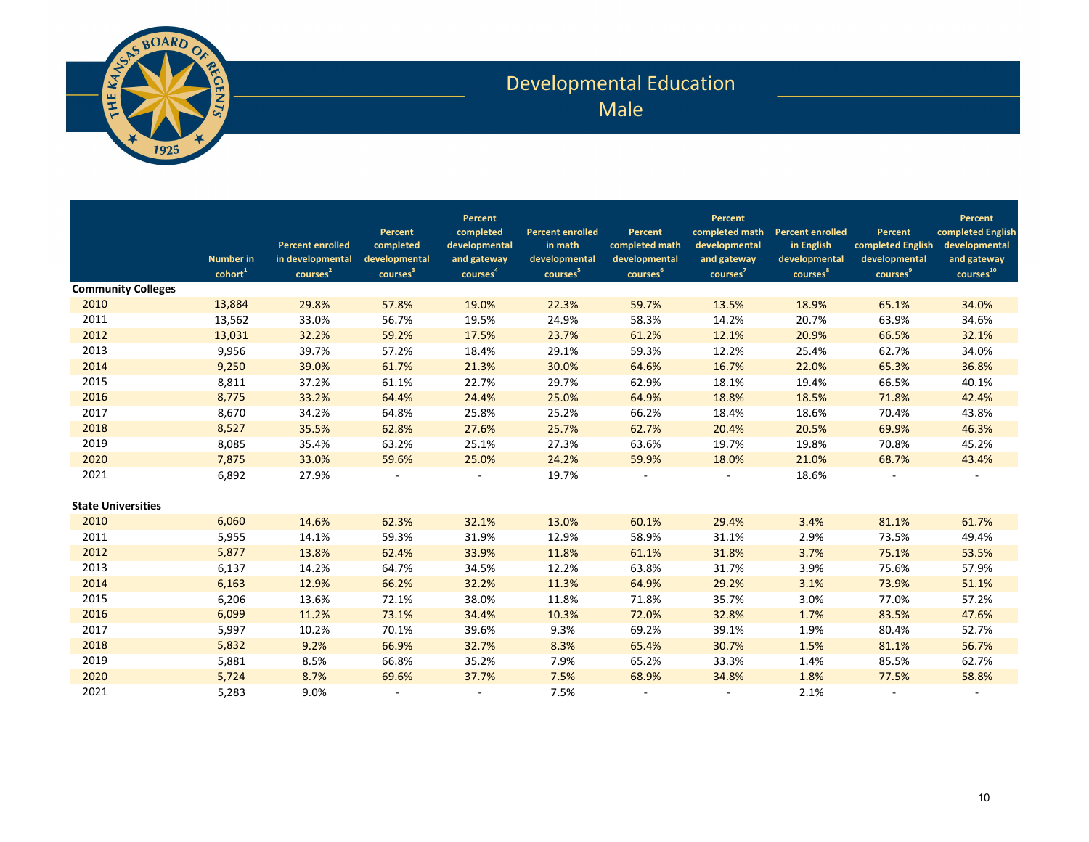

## Developmental Education Male

|                           | <b>Number</b> in<br>cohort <sup>1</sup> | <b>Percent enrolled</b><br>in developmental<br>courses <sup>2</sup> | Percent<br>completed<br>developmental<br>courses <sup>3</sup> | Percent<br>completed<br>developmental<br>and gateway<br>courses <sup>4</sup> | <b>Percent enrolled</b><br>in math<br>developmental<br>courses <sup>5</sup> | Percent<br>completed math<br>developmental<br>courses <sup>6</sup> | Percent<br>completed math<br>developmental<br>and gateway<br>courses <sup>7</sup> | <b>Percent enrolled</b><br>in English<br>developmental<br>courses <sup>8</sup> | Percent<br>completed English<br>developmental<br>courses <sup>9</sup> | Percent<br>completed English<br>developmental<br>and gateway<br>courses <sup>10</sup> |
|---------------------------|-----------------------------------------|---------------------------------------------------------------------|---------------------------------------------------------------|------------------------------------------------------------------------------|-----------------------------------------------------------------------------|--------------------------------------------------------------------|-----------------------------------------------------------------------------------|--------------------------------------------------------------------------------|-----------------------------------------------------------------------|---------------------------------------------------------------------------------------|
| <b>Community Colleges</b> |                                         |                                                                     |                                                               |                                                                              |                                                                             |                                                                    |                                                                                   |                                                                                |                                                                       |                                                                                       |
| 2010                      | 13,884                                  | 29.8%                                                               | 57.8%                                                         | 19.0%                                                                        | 22.3%                                                                       | 59.7%                                                              | 13.5%                                                                             | 18.9%                                                                          | 65.1%                                                                 | 34.0%                                                                                 |
| 2011                      | 13,562                                  | 33.0%                                                               | 56.7%                                                         | 19.5%                                                                        | 24.9%                                                                       | 58.3%                                                              | 14.2%                                                                             | 20.7%                                                                          | 63.9%                                                                 | 34.6%                                                                                 |
| 2012                      | 13,031                                  | 32.2%                                                               | 59.2%                                                         | 17.5%                                                                        | 23.7%                                                                       | 61.2%                                                              | 12.1%                                                                             | 20.9%                                                                          | 66.5%                                                                 | 32.1%                                                                                 |
| 2013                      | 9,956                                   | 39.7%                                                               | 57.2%                                                         | 18.4%                                                                        | 29.1%                                                                       | 59.3%                                                              | 12.2%                                                                             | 25.4%                                                                          | 62.7%                                                                 | 34.0%                                                                                 |
| 2014                      | 9,250                                   | 39.0%                                                               | 61.7%                                                         | 21.3%                                                                        | 30.0%                                                                       | 64.6%                                                              | 16.7%                                                                             | 22.0%                                                                          | 65.3%                                                                 | 36.8%                                                                                 |
| 2015                      | 8,811                                   | 37.2%                                                               | 61.1%                                                         | 22.7%                                                                        | 29.7%                                                                       | 62.9%                                                              | 18.1%                                                                             | 19.4%                                                                          | 66.5%                                                                 | 40.1%                                                                                 |
| 2016                      | 8,775                                   | 33.2%                                                               | 64.4%                                                         | 24.4%                                                                        | 25.0%                                                                       | 64.9%                                                              | 18.8%                                                                             | 18.5%                                                                          | 71.8%                                                                 | 42.4%                                                                                 |
| 2017                      | 8,670                                   | 34.2%                                                               | 64.8%                                                         | 25.8%                                                                        | 25.2%                                                                       | 66.2%                                                              | 18.4%                                                                             | 18.6%                                                                          | 70.4%                                                                 | 43.8%                                                                                 |
| 2018                      | 8,527                                   | 35.5%                                                               | 62.8%                                                         | 27.6%                                                                        | 25.7%                                                                       | 62.7%                                                              | 20.4%                                                                             | 20.5%                                                                          | 69.9%                                                                 | 46.3%                                                                                 |
| 2019                      | 8,085                                   | 35.4%                                                               | 63.2%                                                         | 25.1%                                                                        | 27.3%                                                                       | 63.6%                                                              | 19.7%                                                                             | 19.8%                                                                          | 70.8%                                                                 | 45.2%                                                                                 |
| 2020                      | 7,875                                   | 33.0%                                                               | 59.6%                                                         | 25.0%                                                                        | 24.2%                                                                       | 59.9%                                                              | 18.0%                                                                             | 21.0%                                                                          | 68.7%                                                                 | 43.4%                                                                                 |
| 2021                      | 6,892                                   | 27.9%                                                               |                                                               |                                                                              | 19.7%                                                                       |                                                                    |                                                                                   | 18.6%                                                                          |                                                                       |                                                                                       |
| <b>State Universities</b> |                                         |                                                                     |                                                               |                                                                              |                                                                             |                                                                    |                                                                                   |                                                                                |                                                                       |                                                                                       |
| 2010                      | 6,060                                   | 14.6%                                                               | 62.3%                                                         | 32.1%                                                                        | 13.0%                                                                       | 60.1%                                                              | 29.4%                                                                             | 3.4%                                                                           | 81.1%                                                                 | 61.7%                                                                                 |
| 2011                      | 5,955                                   | 14.1%                                                               | 59.3%                                                         | 31.9%                                                                        | 12.9%                                                                       | 58.9%                                                              | 31.1%                                                                             | 2.9%                                                                           | 73.5%                                                                 | 49.4%                                                                                 |
| 2012                      | 5,877                                   | 13.8%                                                               | 62.4%                                                         | 33.9%                                                                        | 11.8%                                                                       | 61.1%                                                              | 31.8%                                                                             | 3.7%                                                                           | 75.1%                                                                 | 53.5%                                                                                 |
| 2013                      | 6,137                                   | 14.2%                                                               | 64.7%                                                         | 34.5%                                                                        | 12.2%                                                                       | 63.8%                                                              | 31.7%                                                                             | 3.9%                                                                           | 75.6%                                                                 | 57.9%                                                                                 |
| 2014                      | 6,163                                   | 12.9%                                                               | 66.2%                                                         | 32.2%                                                                        | 11.3%                                                                       | 64.9%                                                              | 29.2%                                                                             | 3.1%                                                                           | 73.9%                                                                 | 51.1%                                                                                 |
| 2015                      | 6,206                                   | 13.6%                                                               | 72.1%                                                         | 38.0%                                                                        | 11.8%                                                                       | 71.8%                                                              | 35.7%                                                                             | 3.0%                                                                           | 77.0%                                                                 | 57.2%                                                                                 |
| 2016                      | 6,099                                   | 11.2%                                                               | 73.1%                                                         | 34.4%                                                                        | 10.3%                                                                       | 72.0%                                                              | 32.8%                                                                             | 1.7%                                                                           | 83.5%                                                                 | 47.6%                                                                                 |
| 2017                      | 5,997                                   | 10.2%                                                               | 70.1%                                                         | 39.6%                                                                        | 9.3%                                                                        | 69.2%                                                              | 39.1%                                                                             | 1.9%                                                                           | 80.4%                                                                 | 52.7%                                                                                 |
| 2018                      | 5,832                                   | 9.2%                                                                | 66.9%                                                         | 32.7%                                                                        | 8.3%                                                                        | 65.4%                                                              | 30.7%                                                                             | 1.5%                                                                           | 81.1%                                                                 | 56.7%                                                                                 |
| 2019                      | 5,881                                   | 8.5%                                                                | 66.8%                                                         | 35.2%                                                                        | 7.9%                                                                        | 65.2%                                                              | 33.3%                                                                             | 1.4%                                                                           | 85.5%                                                                 | 62.7%                                                                                 |
| 2020                      | 5,724                                   | 8.7%                                                                | 69.6%                                                         | 37.7%                                                                        | 7.5%                                                                        | 68.9%                                                              | 34.8%                                                                             | 1.8%                                                                           | 77.5%                                                                 | 58.8%                                                                                 |
| 2021                      | 5,283                                   | 9.0%                                                                |                                                               | $\overline{\phantom{a}}$                                                     | 7.5%                                                                        | $\sim$                                                             |                                                                                   | 2.1%                                                                           |                                                                       |                                                                                       |